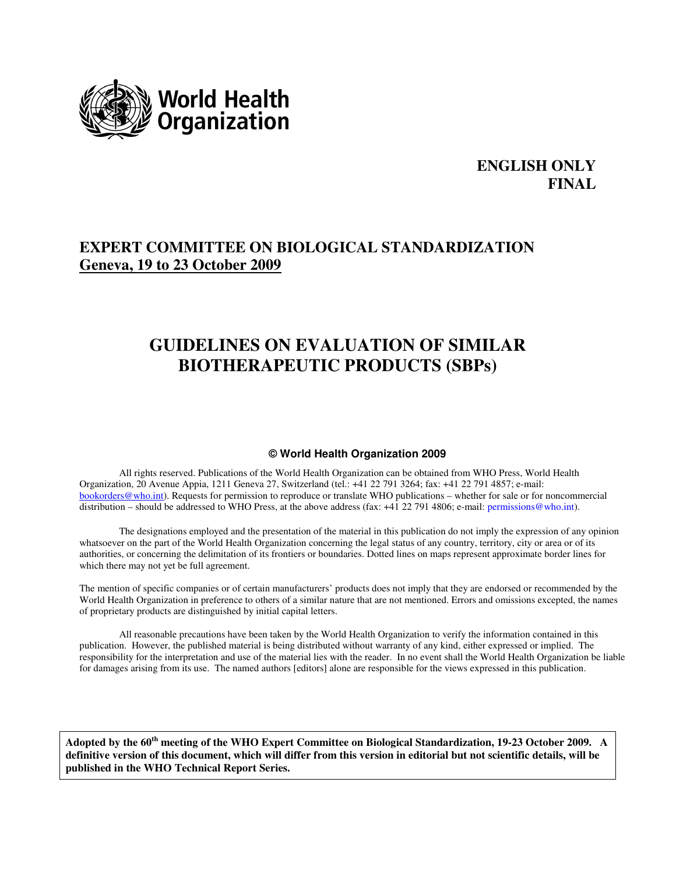

### **ENGLISH ONLY FINAL**

### **EXPERT COMMITTEE ON BIOLOGICAL STANDARDIZATION Geneva, 19 to 23 October 2009**

# **GUIDELINES ON EVALUATION OF SIMILAR BIOTHERAPEUTIC PRODUCTS (SBPs)**

#### **© World Health Organization 2009**

All rights reserved. Publications of the World Health Organization can be obtained from WHO Press, World Health Organization, 20 Avenue Appia, 1211 Geneva 27, Switzerland (tel.: +41 22 791 3264; fax: +41 22 791 4857; e-mail: bookorders@who.int). Requests for permission to reproduce or translate WHO publications – whether for sale or for noncommercial distribution – should be addressed to WHO Press, at the above address (fax: +41 22 791 4806; e-mail: permissions@who.int).

The designations employed and the presentation of the material in this publication do not imply the expression of any opinion whatsoever on the part of the World Health Organization concerning the legal status of any country, territory, city or area or of its authorities, or concerning the delimitation of its frontiers or boundaries. Dotted lines on maps represent approximate border lines for which there may not yet be full agreement.

The mention of specific companies or of certain manufacturers' products does not imply that they are endorsed or recommended by the World Health Organization in preference to others of a similar nature that are not mentioned. Errors and omissions excepted, the names of proprietary products are distinguished by initial capital letters.

All reasonable precautions have been taken by the World Health Organization to verify the information contained in this publication. However, the published material is being distributed without warranty of any kind, either expressed or implied. The responsibility for the interpretation and use of the material lies with the reader. In no event shall the World Health Organization be liable for damages arising from its use. The named authors [editors] alone are responsible for the views expressed in this publication.

**Adopted by the 60th meeting of the WHO Expert Committee on Biological Standardization, 19-23 October 2009. A definitive version of this document, which will differ from this version in editorial but not scientific details, will be published in the WHO Technical Report Series.**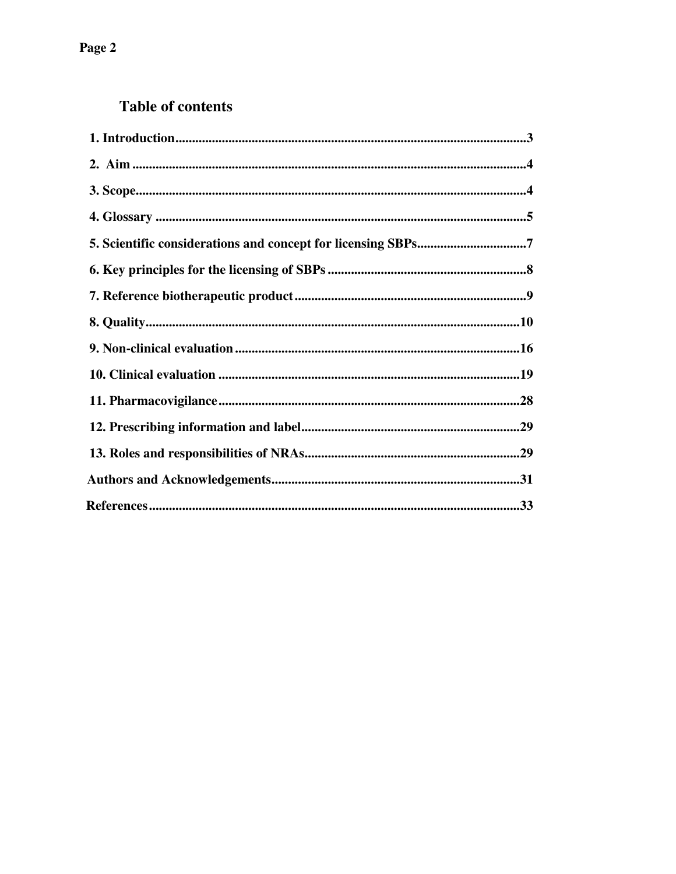# **Table of contents**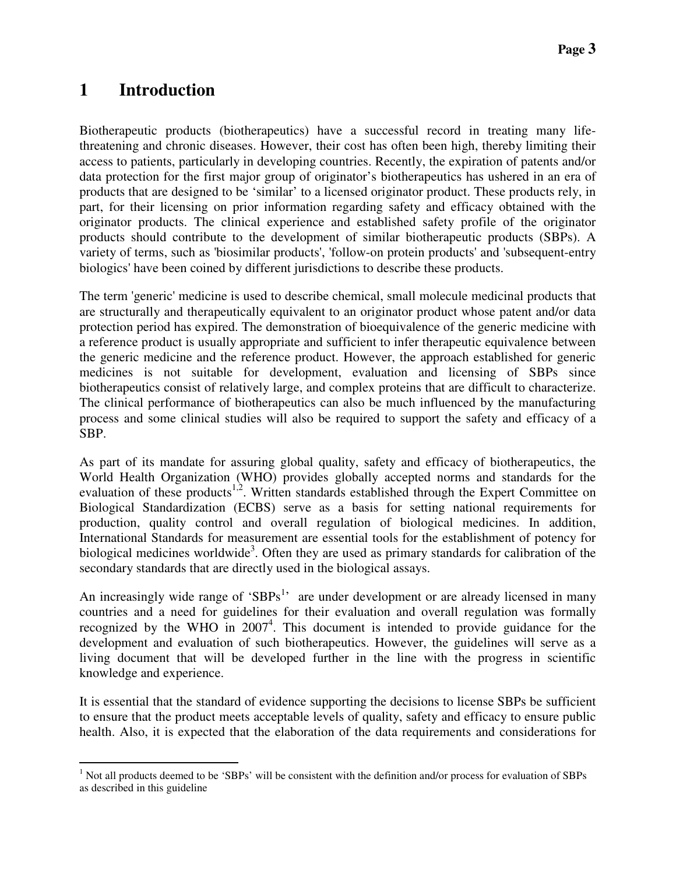# **1 Introduction**

Biotherapeutic products (biotherapeutics) have a successful record in treating many lifethreatening and chronic diseases. However, their cost has often been high, thereby limiting their access to patients, particularly in developing countries. Recently, the expiration of patents and/or data protection for the first major group of originator's biotherapeutics has ushered in an era of products that are designed to be 'similar' to a licensed originator product. These products rely, in part, for their licensing on prior information regarding safety and efficacy obtained with the originator products. The clinical experience and established safety profile of the originator products should contribute to the development of similar biotherapeutic products (SBPs). A variety of terms, such as 'biosimilar products', 'follow-on protein products' and 'subsequent-entry biologics' have been coined by different jurisdictions to describe these products.

The term 'generic' medicine is used to describe chemical, small molecule medicinal products that are structurally and therapeutically equivalent to an originator product whose patent and/or data protection period has expired. The demonstration of bioequivalence of the generic medicine with a reference product is usually appropriate and sufficient to infer therapeutic equivalence between the generic medicine and the reference product. However, the approach established for generic medicines is not suitable for development, evaluation and licensing of SBPs since biotherapeutics consist of relatively large, and complex proteins that are difficult to characterize. The clinical performance of biotherapeutics can also be much influenced by the manufacturing process and some clinical studies will also be required to support the safety and efficacy of a SBP.

As part of its mandate for assuring global quality, safety and efficacy of biotherapeutics, the World Health Organization (WHO) provides globally accepted norms and standards for the evaluation of these products<sup>1,2</sup>. Written standards established through the Expert Committee on Biological Standardization (ECBS) serve as a basis for setting national requirements for production, quality control and overall regulation of biological medicines. In addition, International Standards for measurement are essential tools for the establishment of potency for biological medicines worldwide<sup>3</sup>. Often they are used as primary standards for calibration of the secondary standards that are directly used in the biological assays.

An increasingly wide range of 'SBPs<sup>1</sup>' are under development or are already licensed in many countries and a need for guidelines for their evaluation and overall regulation was formally recognized by the WHO in  $2007<sup>4</sup>$ . This document is intended to provide guidance for the development and evaluation of such biotherapeutics. However, the guidelines will serve as a living document that will be developed further in the line with the progress in scientific knowledge and experience.

It is essential that the standard of evidence supporting the decisions to license SBPs be sufficient to ensure that the product meets acceptable levels of quality, safety and efficacy to ensure public health. Also, it is expected that the elaboration of the data requirements and considerations for

 1 Not all products deemed to be 'SBPs' will be consistent with the definition and/or process for evaluation of SBPs as described in this guideline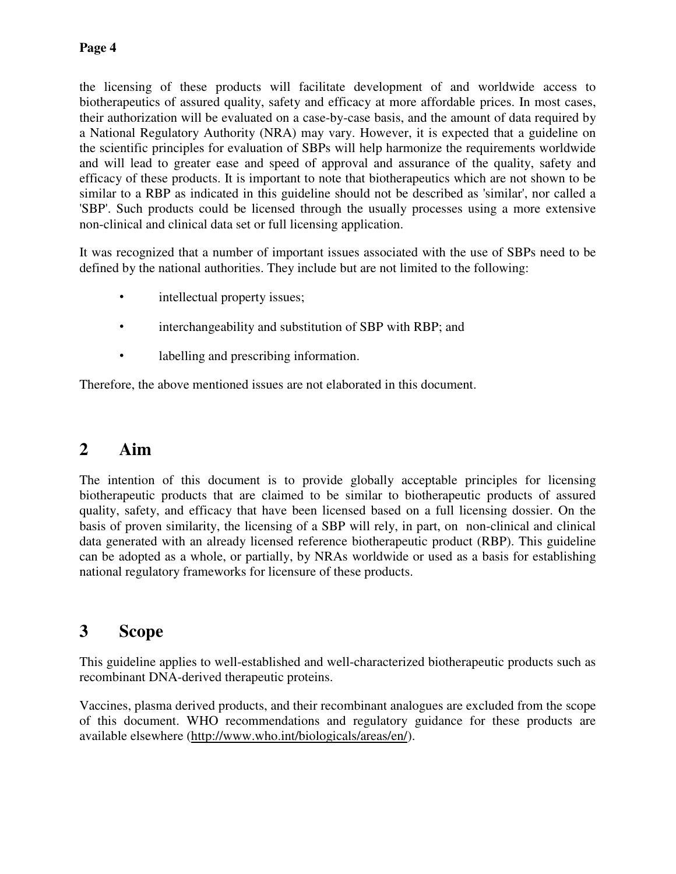the licensing of these products will facilitate development of and worldwide access to biotherapeutics of assured quality, safety and efficacy at more affordable prices. In most cases, their authorization will be evaluated on a case-by-case basis, and the amount of data required by a National Regulatory Authority (NRA) may vary. However, it is expected that a guideline on the scientific principles for evaluation of SBPs will help harmonize the requirements worldwide and will lead to greater ease and speed of approval and assurance of the quality, safety and efficacy of these products. It is important to note that biotherapeutics which are not shown to be similar to a RBP as indicated in this guideline should not be described as 'similar', nor called a 'SBP'. Such products could be licensed through the usually processes using a more extensive non-clinical and clinical data set or full licensing application.

It was recognized that a number of important issues associated with the use of SBPs need to be defined by the national authorities. They include but are not limited to the following:

- intellectual property issues;
- interchangeability and substitution of SBP with RBP; and
- labelling and prescribing information.

Therefore, the above mentioned issues are not elaborated in this document.

### **2 Aim**

The intention of this document is to provide globally acceptable principles for licensing biotherapeutic products that are claimed to be similar to biotherapeutic products of assured quality, safety, and efficacy that have been licensed based on a full licensing dossier. On the basis of proven similarity, the licensing of a SBP will rely, in part, on non-clinical and clinical data generated with an already licensed reference biotherapeutic product (RBP). This guideline can be adopted as a whole, or partially, by NRAs worldwide or used as a basis for establishing national regulatory frameworks for licensure of these products.

# **3 Scope**

This guideline applies to well-established and well-characterized biotherapeutic products such as recombinant DNA-derived therapeutic proteins.

Vaccines, plasma derived products, and their recombinant analogues are excluded from the scope of this document. WHO recommendations and regulatory guidance for these products are available elsewhere (http://www.who.int/biologicals/areas/en/).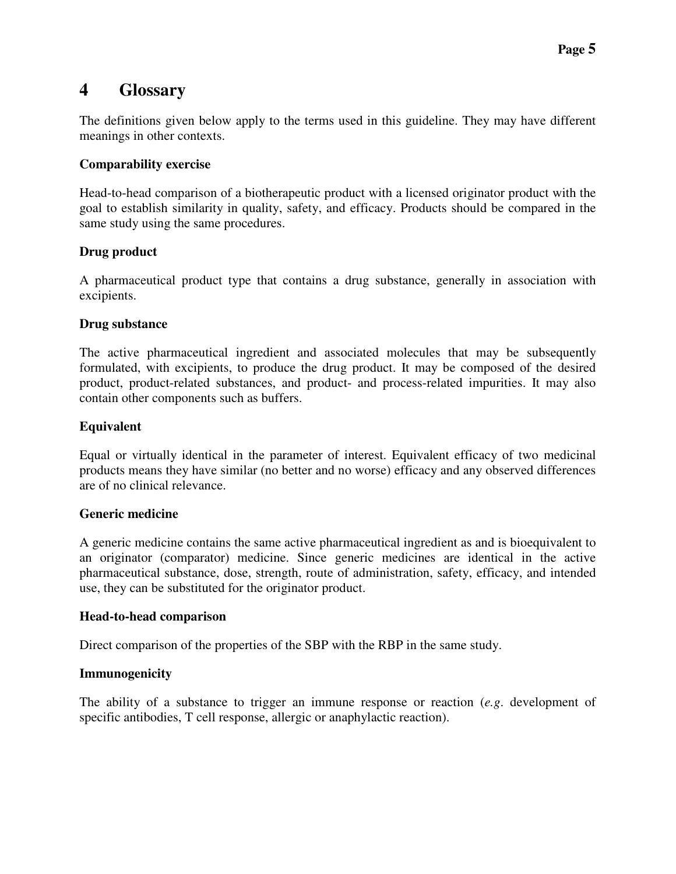# **4 Glossary**

The definitions given below apply to the terms used in this guideline. They may have different meanings in other contexts.

#### **Comparability exercise**

Head-to-head comparison of a biotherapeutic product with a licensed originator product with the goal to establish similarity in quality, safety, and efficacy. Products should be compared in the same study using the same procedures.

#### **Drug product**

A pharmaceutical product type that contains a drug substance, generally in association with excipients.

#### **Drug substance**

The active pharmaceutical ingredient and associated molecules that may be subsequently formulated, with excipients, to produce the drug product. It may be composed of the desired product, product-related substances, and product- and process-related impurities. It may also contain other components such as buffers.

#### **Equivalent**

Equal or virtually identical in the parameter of interest. Equivalent efficacy of two medicinal products means they have similar (no better and no worse) efficacy and any observed differences are of no clinical relevance.

#### **Generic medicine**

A generic medicine contains the same active pharmaceutical ingredient as and is bioequivalent to an originator (comparator) medicine. Since generic medicines are identical in the active pharmaceutical substance, dose, strength, route of administration, safety, efficacy, and intended use, they can be substituted for the originator product.

#### **Head-to-head comparison**

Direct comparison of the properties of the SBP with the RBP in the same study.

#### **Immunogenicity**

The ability of a substance to trigger an immune response or reaction (*e.g*. development of specific antibodies, T cell response, allergic or anaphylactic reaction).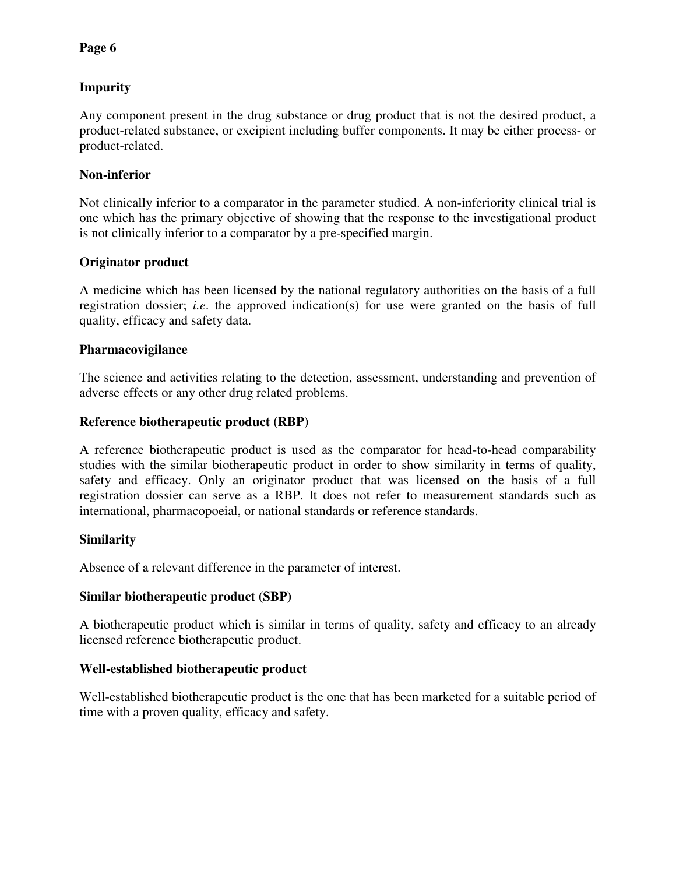#### **Page 6**

#### **Impurity**

Any component present in the drug substance or drug product that is not the desired product, a product-related substance, or excipient including buffer components. It may be either process- or product-related.

#### **Non-inferior**

Not clinically inferior to a comparator in the parameter studied. A non-inferiority clinical trial is one which has the primary objective of showing that the response to the investigational product is not clinically inferior to a comparator by a pre-specified margin.

#### **Originator product**

A medicine which has been licensed by the national regulatory authorities on the basis of a full registration dossier; *i.e*. the approved indication(s) for use were granted on the basis of full quality, efficacy and safety data.

#### **Pharmacovigilance**

The science and activities relating to the detection, assessment, understanding and prevention of adverse effects or any other drug related problems.

#### **Reference biotherapeutic product (RBP)**

A reference biotherapeutic product is used as the comparator for head-to-head comparability studies with the similar biotherapeutic product in order to show similarity in terms of quality, safety and efficacy. Only an originator product that was licensed on the basis of a full registration dossier can serve as a RBP. It does not refer to measurement standards such as international, pharmacopoeial, or national standards or reference standards.

#### **Similarity**

Absence of a relevant difference in the parameter of interest.

#### **Similar biotherapeutic product (SBP)**

A biotherapeutic product which is similar in terms of quality, safety and efficacy to an already licensed reference biotherapeutic product.

#### **Well-established biotherapeutic product**

Well-established biotherapeutic product is the one that has been marketed for a suitable period of time with a proven quality, efficacy and safety.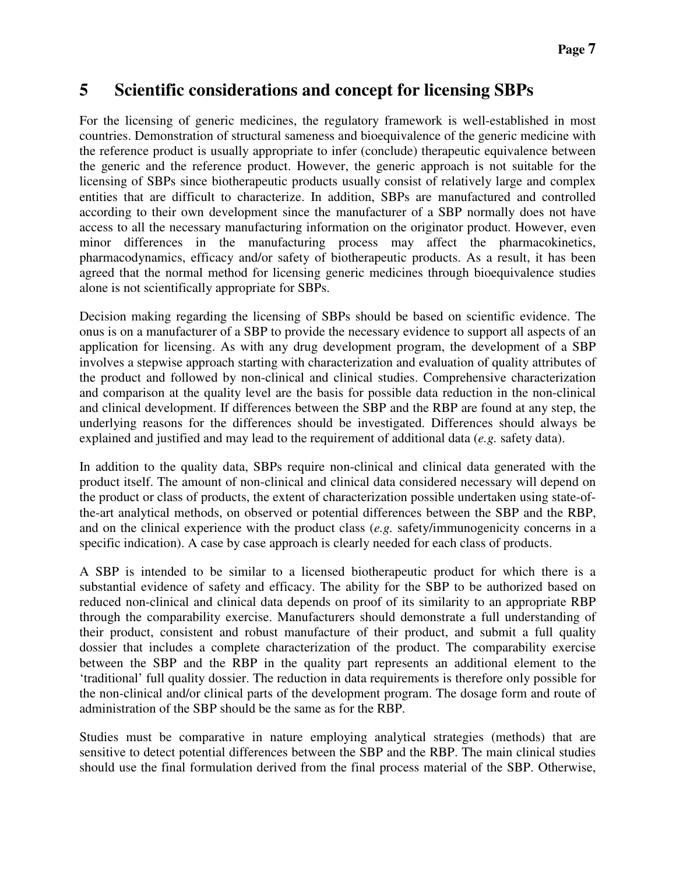# **5 Scientific considerations and concept for licensing SBPs**

For the licensing of generic medicines, the regulatory framework is well-established in most countries. Demonstration of structural sameness and bioequivalence of the generic medicine with the reference product is usually appropriate to infer (conclude) therapeutic equivalence between the generic and the reference product. However, the generic approach is not suitable for the licensing of SBPs since biotherapeutic products usually consist of relatively large and complex entities that are difficult to characterize. In addition, SBPs are manufactured and controlled according to their own development since the manufacturer of a SBP normally does not have access to all the necessary manufacturing information on the originator product. However, even minor differences in the manufacturing process may affect the pharmacokinetics, pharmacodynamics, efficacy and/or safety of biotherapeutic products. As a result, it has been agreed that the normal method for licensing generic medicines through bioequivalence studies alone is not scientifically appropriate for SBPs.

Decision making regarding the licensing of SBPs should be based on scientific evidence. The onus is on a manufacturer of a SBP to provide the necessary evidence to support all aspects of an application for licensing. As with any drug development program, the development of a SBP involves a stepwise approach starting with characterization and evaluation of quality attributes of the product and followed by non-clinical and clinical studies. Comprehensive characterization and comparison at the quality level are the basis for possible data reduction in the non-clinical and clinical development. If differences between the SBP and the RBP are found at any step, the underlying reasons for the differences should be investigated. Differences should always be explained and justified and may lead to the requirement of additional data (*e.g.* safety data).

In addition to the quality data, SBPs require non-clinical and clinical data generated with the product itself. The amount of non-clinical and clinical data considered necessary will depend on the product or class of products, the extent of characterization possible undertaken using state-ofthe-art analytical methods, on observed or potential differences between the SBP and the RBP, and on the clinical experience with the product class (*e.g.* safety/immunogenicity concerns in a specific indication). A case by case approach is clearly needed for each class of products.

A SBP is intended to be similar to a licensed biotherapeutic product for which there is a substantial evidence of safety and efficacy. The ability for the SBP to be authorized based on reduced non-clinical and clinical data depends on proof of its similarity to an appropriate RBP through the comparability exercise. Manufacturers should demonstrate a full understanding of their product, consistent and robust manufacture of their product, and submit a full quality dossier that includes a complete characterization of the product. The comparability exercise between the SBP and the RBP in the quality part represents an additional element to the 'traditional' full quality dossier. The reduction in data requirements is therefore only possible for the non-clinical and/or clinical parts of the development program. The dosage form and route of administration of the SBP should be the same as for the RBP.

Studies must be comparative in nature employing analytical strategies (methods) that are sensitive to detect potential differences between the SBP and the RBP. The main clinical studies should use the final formulation derived from the final process material of the SBP. Otherwise,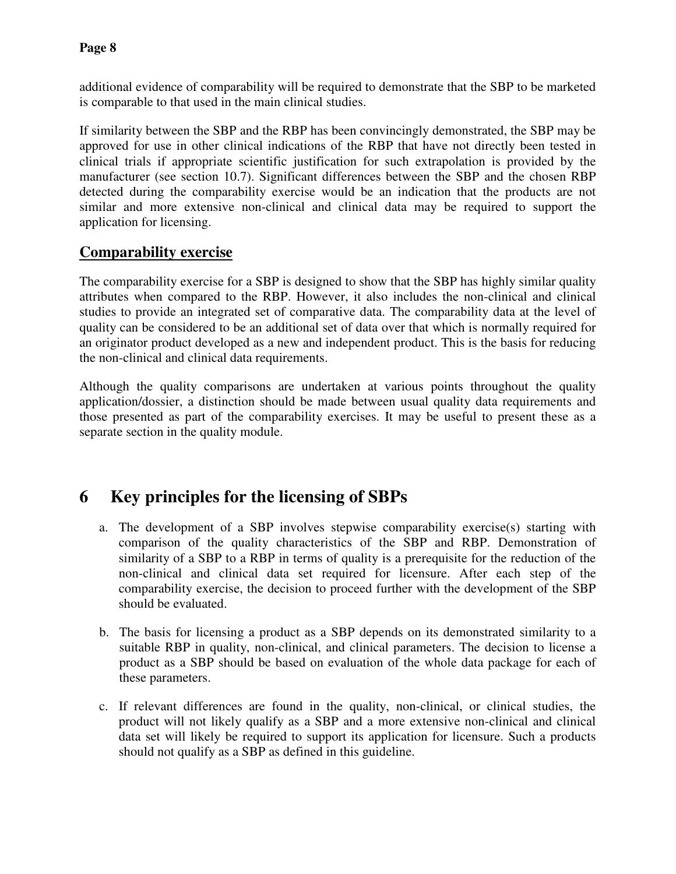additional evidence of comparability will be required to demonstrate that the SBP to be marketed is comparable to that used in the main clinical studies.

If similarity between the SBP and the RBP has been convincingly demonstrated, the SBP may be approved for use in other clinical indications of the RBP that have not directly been tested in clinical trials if appropriate scientific justification for such extrapolation is provided by the manufacturer (see section 10.7). Significant differences between the SBP and the chosen RBP detected during the comparability exercise would be an indication that the products are not similar and more extensive non-clinical and clinical data may be required to support the application for licensing.

### **Comparability exercise**

The comparability exercise for a SBP is designed to show that the SBP has highly similar quality attributes when compared to the RBP. However, it also includes the non-clinical and clinical studies to provide an integrated set of comparative data. The comparability data at the level of quality can be considered to be an additional set of data over that which is normally required for an originator product developed as a new and independent product. This is the basis for reducing the non-clinical and clinical data requirements.

Although the quality comparisons are undertaken at various points throughout the quality application/dossier, a distinction should be made between usual quality data requirements and those presented as part of the comparability exercises. It may be useful to present these as a separate section in the quality module.

# **6 Key principles for the licensing of SBPs**

- a. The development of a SBP involves stepwise comparability exercise(s) starting with comparison of the quality characteristics of the SBP and RBP. Demonstration of similarity of a SBP to a RBP in terms of quality is a prerequisite for the reduction of the non-clinical and clinical data set required for licensure. After each step of the comparability exercise, the decision to proceed further with the development of the SBP should be evaluated.
- b. The basis for licensing a product as a SBP depends on its demonstrated similarity to a suitable RBP in quality, non-clinical, and clinical parameters. The decision to license a product as a SBP should be based on evaluation of the whole data package for each of these parameters.
- c. If relevant differences are found in the quality, non-clinical, or clinical studies, the product will not likely qualify as a SBP and a more extensive non-clinical and clinical data set will likely be required to support its application for licensure. Such a products should not qualify as a SBP as defined in this guideline.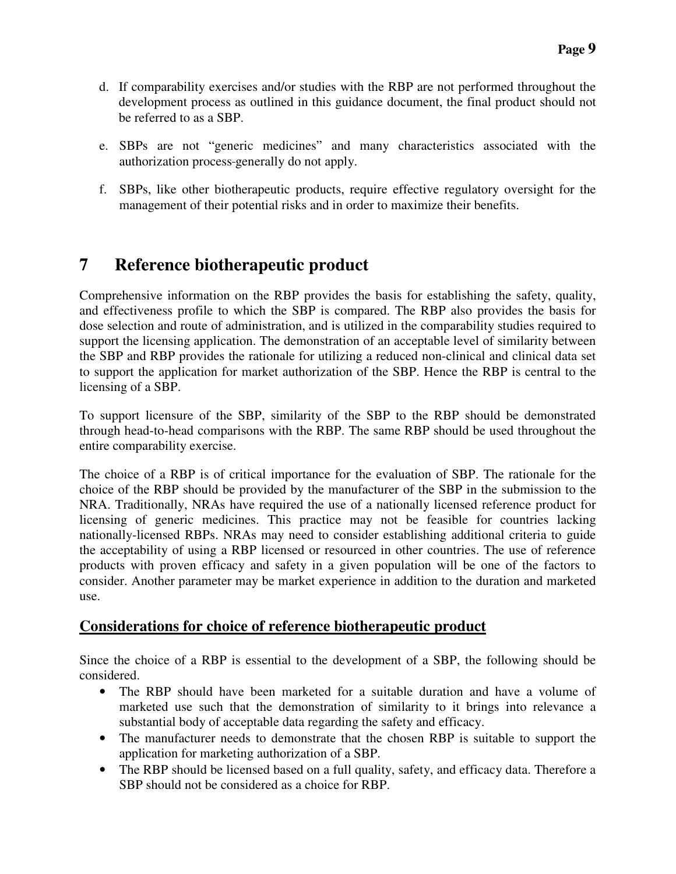- d. If comparability exercises and/or studies with the RBP are not performed throughout the development process as outlined in this guidance document, the final product should not be referred to as a SBP.
- e. SBPs are not "generic medicines" and many characteristics associated with the authorization process generally do not apply.
- f. SBPs, like other biotherapeutic products, require effective regulatory oversight for the management of their potential risks and in order to maximize their benefits.

# **7 Reference biotherapeutic product**

Comprehensive information on the RBP provides the basis for establishing the safety, quality, and effectiveness profile to which the SBP is compared. The RBP also provides the basis for dose selection and route of administration, and is utilized in the comparability studies required to support the licensing application. The demonstration of an acceptable level of similarity between the SBP and RBP provides the rationale for utilizing a reduced non-clinical and clinical data set to support the application for market authorization of the SBP. Hence the RBP is central to the licensing of a SBP.

To support licensure of the SBP, similarity of the SBP to the RBP should be demonstrated through head-to-head comparisons with the RBP. The same RBP should be used throughout the entire comparability exercise.

The choice of a RBP is of critical importance for the evaluation of SBP. The rationale for the choice of the RBP should be provided by the manufacturer of the SBP in the submission to the NRA. Traditionally, NRAs have required the use of a nationally licensed reference product for licensing of generic medicines. This practice may not be feasible for countries lacking nationally-licensed RBPs. NRAs may need to consider establishing additional criteria to guide the acceptability of using a RBP licensed or resourced in other countries. The use of reference products with proven efficacy and safety in a given population will be one of the factors to consider. Another parameter may be market experience in addition to the duration and marketed use.

#### **Considerations for choice of reference biotherapeutic product**

Since the choice of a RBP is essential to the development of a SBP, the following should be considered.

- The RBP should have been marketed for a suitable duration and have a volume of marketed use such that the demonstration of similarity to it brings into relevance a substantial body of acceptable data regarding the safety and efficacy.
- The manufacturer needs to demonstrate that the chosen RBP is suitable to support the application for marketing authorization of a SBP.
- The RBP should be licensed based on a full quality, safety, and efficacy data. Therefore a SBP should not be considered as a choice for RBP.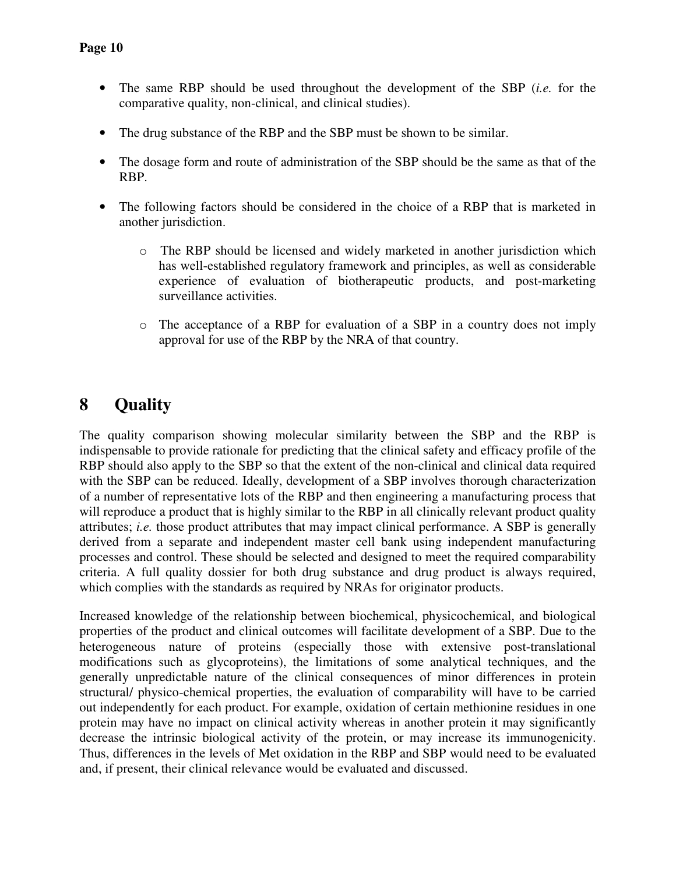- The same RBP should be used throughout the development of the SBP (*i.e.* for the comparative quality, non-clinical, and clinical studies).
- The drug substance of the RBP and the SBP must be shown to be similar.
- The dosage form and route of administration of the SBP should be the same as that of the RBP.
- The following factors should be considered in the choice of a RBP that is marketed in another jurisdiction.
	- o The RBP should be licensed and widely marketed in another jurisdiction which has well-established regulatory framework and principles, as well as considerable experience of evaluation of biotherapeutic products, and post-marketing surveillance activities.
	- o The acceptance of a RBP for evaluation of a SBP in a country does not imply approval for use of the RBP by the NRA of that country.

# **8 Quality**

The quality comparison showing molecular similarity between the SBP and the RBP is indispensable to provide rationale for predicting that the clinical safety and efficacy profile of the RBP should also apply to the SBP so that the extent of the non-clinical and clinical data required with the SBP can be reduced. Ideally, development of a SBP involves thorough characterization of a number of representative lots of the RBP and then engineering a manufacturing process that will reproduce a product that is highly similar to the RBP in all clinically relevant product quality attributes; *i.e.* those product attributes that may impact clinical performance. A SBP is generally derived from a separate and independent master cell bank using independent manufacturing processes and control. These should be selected and designed to meet the required comparability criteria. A full quality dossier for both drug substance and drug product is always required, which complies with the standards as required by NRAs for originator products.

Increased knowledge of the relationship between biochemical, physicochemical, and biological properties of the product and clinical outcomes will facilitate development of a SBP. Due to the heterogeneous nature of proteins (especially those with extensive post-translational modifications such as glycoproteins), the limitations of some analytical techniques, and the generally unpredictable nature of the clinical consequences of minor differences in protein structural/ physico-chemical properties, the evaluation of comparability will have to be carried out independently for each product. For example, oxidation of certain methionine residues in one protein may have no impact on clinical activity whereas in another protein it may significantly decrease the intrinsic biological activity of the protein, or may increase its immunogenicity. Thus, differences in the levels of Met oxidation in the RBP and SBP would need to be evaluated and, if present, their clinical relevance would be evaluated and discussed.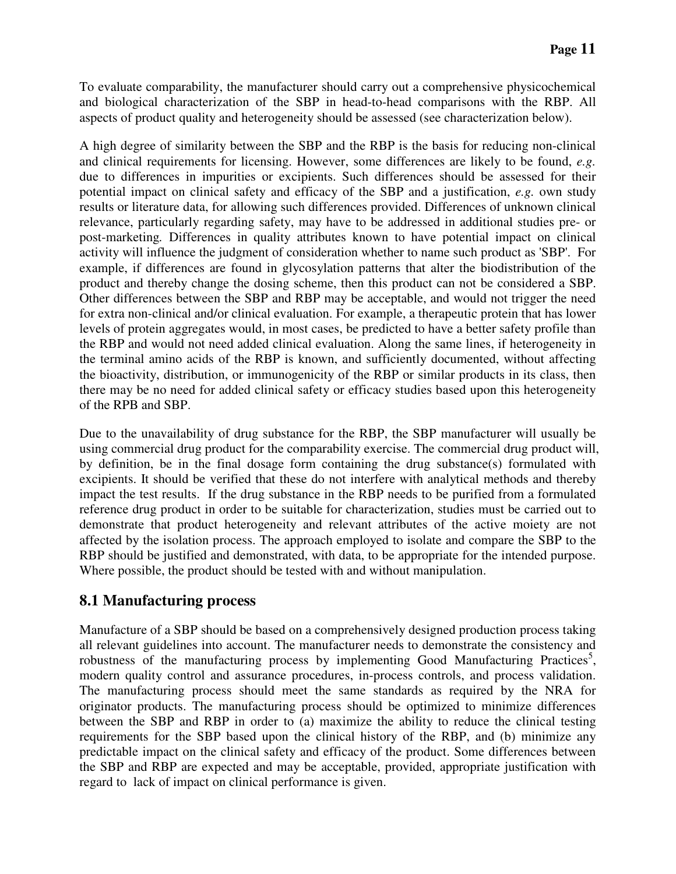To evaluate comparability, the manufacturer should carry out a comprehensive physicochemical and biological characterization of the SBP in head-to-head comparisons with the RBP. All aspects of product quality and heterogeneity should be assessed (see characterization below).

A high degree of similarity between the SBP and the RBP is the basis for reducing non-clinical and clinical requirements for licensing. However, some differences are likely to be found, *e.g.*  due to differences in impurities or excipients. Such differences should be assessed for their potential impact on clinical safety and efficacy of the SBP and a justification, *e.g.* own study results or literature data, for allowing such differences provided. Differences of unknown clinical relevance, particularly regarding safety, may have to be addressed in additional studies pre- or post-marketing*.* Differences in quality attributes known to have potential impact on clinical activity will influence the judgment of consideration whether to name such product as 'SBP'. For example, if differences are found in glycosylation patterns that alter the biodistribution of the product and thereby change the dosing scheme, then this product can not be considered a SBP. Other differences between the SBP and RBP may be acceptable, and would not trigger the need for extra non-clinical and/or clinical evaluation. For example, a therapeutic protein that has lower levels of protein aggregates would, in most cases, be predicted to have a better safety profile than the RBP and would not need added clinical evaluation. Along the same lines, if heterogeneity in the terminal amino acids of the RBP is known, and sufficiently documented, without affecting the bioactivity, distribution, or immunogenicity of the RBP or similar products in its class, then there may be no need for added clinical safety or efficacy studies based upon this heterogeneity of the RPB and SBP.

Due to the unavailability of drug substance for the RBP, the SBP manufacturer will usually be using commercial drug product for the comparability exercise. The commercial drug product will, by definition, be in the final dosage form containing the drug substance(s) formulated with excipients. It should be verified that these do not interfere with analytical methods and thereby impact the test results. If the drug substance in the RBP needs to be purified from a formulated reference drug product in order to be suitable for characterization, studies must be carried out to demonstrate that product heterogeneity and relevant attributes of the active moiety are not affected by the isolation process. The approach employed to isolate and compare the SBP to the RBP should be justified and demonstrated, with data, to be appropriate for the intended purpose. Where possible, the product should be tested with and without manipulation.

#### **8.1 Manufacturing process**

Manufacture of a SBP should be based on a comprehensively designed production process taking all relevant guidelines into account. The manufacturer needs to demonstrate the consistency and robustness of the manufacturing process by implementing Good Manufacturing Practices<sup>5</sup>, modern quality control and assurance procedures, in-process controls, and process validation. The manufacturing process should meet the same standards as required by the NRA for originator products. The manufacturing process should be optimized to minimize differences between the SBP and RBP in order to (a) maximize the ability to reduce the clinical testing requirements for the SBP based upon the clinical history of the RBP, and (b) minimize any predictable impact on the clinical safety and efficacy of the product. Some differences between the SBP and RBP are expected and may be acceptable, provided, appropriate justification with regard to lack of impact on clinical performance is given.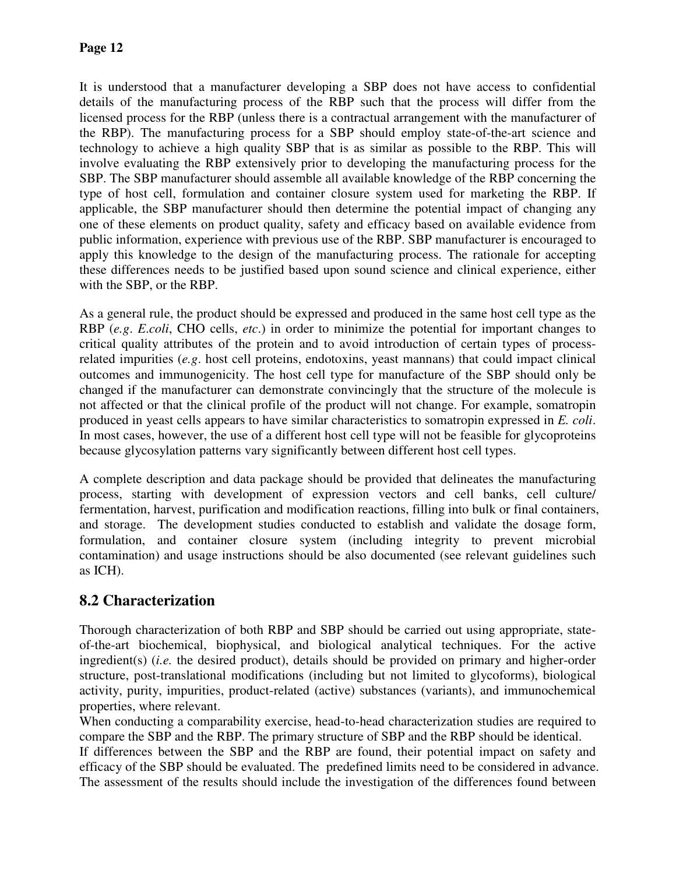It is understood that a manufacturer developing a SBP does not have access to confidential details of the manufacturing process of the RBP such that the process will differ from the licensed process for the RBP (unless there is a contractual arrangement with the manufacturer of the RBP). The manufacturing process for a SBP should employ state-of-the-art science and technology to achieve a high quality SBP that is as similar as possible to the RBP. This will involve evaluating the RBP extensively prior to developing the manufacturing process for the SBP. The SBP manufacturer should assemble all available knowledge of the RBP concerning the type of host cell, formulation and container closure system used for marketing the RBP. If applicable, the SBP manufacturer should then determine the potential impact of changing any one of these elements on product quality, safety and efficacy based on available evidence from public information, experience with previous use of the RBP. SBP manufacturer is encouraged to apply this knowledge to the design of the manufacturing process. The rationale for accepting these differences needs to be justified based upon sound science and clinical experience, either with the SBP, or the RBP.

As a general rule, the product should be expressed and produced in the same host cell type as the RBP (*e.g*. *E*.*coli*, CHO cells, *etc*.) in order to minimize the potential for important changes to critical quality attributes of the protein and to avoid introduction of certain types of processrelated impurities (*e.g*. host cell proteins, endotoxins, yeast mannans) that could impact clinical outcomes and immunogenicity. The host cell type for manufacture of the SBP should only be changed if the manufacturer can demonstrate convincingly that the structure of the molecule is not affected or that the clinical profile of the product will not change. For example, somatropin produced in yeast cells appears to have similar characteristics to somatropin expressed in *E. coli*. In most cases, however, the use of a different host cell type will not be feasible for glycoproteins because glycosylation patterns vary significantly between different host cell types.

A complete description and data package should be provided that delineates the manufacturing process, starting with development of expression vectors and cell banks, cell culture/ fermentation, harvest, purification and modification reactions, filling into bulk or final containers, and storage. The development studies conducted to establish and validate the dosage form, formulation, and container closure system (including integrity to prevent microbial contamination) and usage instructions should be also documented (see relevant guidelines such as ICH).

### **8.2 Characterization**

Thorough characterization of both RBP and SBP should be carried out using appropriate, stateof-the-art biochemical, biophysical, and biological analytical techniques. For the active ingredient(s) (*i.e.* the desired product), details should be provided on primary and higher-order structure, post-translational modifications (including but not limited to glycoforms), biological activity, purity, impurities, product-related (active) substances (variants), and immunochemical properties, where relevant.

When conducting a comparability exercise, head-to-head characterization studies are required to compare the SBP and the RBP. The primary structure of SBP and the RBP should be identical.

If differences between the SBP and the RBP are found, their potential impact on safety and efficacy of the SBP should be evaluated. The predefined limits need to be considered in advance. The assessment of the results should include the investigation of the differences found between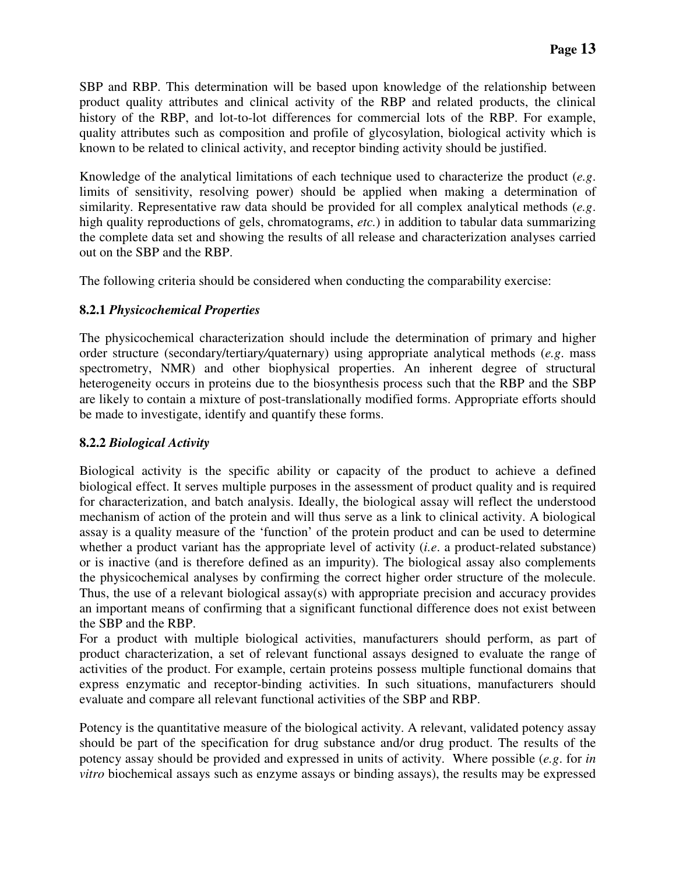SBP and RBP. This determination will be based upon knowledge of the relationship between product quality attributes and clinical activity of the RBP and related products, the clinical history of the RBP, and lot-to-lot differences for commercial lots of the RBP. For example, quality attributes such as composition and profile of glycosylation, biological activity which is known to be related to clinical activity, and receptor binding activity should be justified.

Knowledge of the analytical limitations of each technique used to characterize the product (*e.g*. limits of sensitivity, resolving power) should be applied when making a determination of similarity. Representative raw data should be provided for all complex analytical methods (*e.g*. high quality reproductions of gels, chromatograms, *etc.*) in addition to tabular data summarizing the complete data set and showing the results of all release and characterization analyses carried out on the SBP and the RBP.

The following criteria should be considered when conducting the comparability exercise:

#### **8.2.1** *Physicochemical Properties*

The physicochemical characterization should include the determination of primary and higher order structure (secondary/tertiary*/*quaternary) using appropriate analytical methods (*e.g*. mass spectrometry, NMR) and other biophysical properties. An inherent degree of structural heterogeneity occurs in proteins due to the biosynthesis process such that the RBP and the SBP are likely to contain a mixture of post-translationally modified forms. Appropriate efforts should be made to investigate, identify and quantify these forms.

#### **8.2.2** *Biological Activity*

Biological activity is the specific ability or capacity of the product to achieve a defined biological effect. It serves multiple purposes in the assessment of product quality and is required for characterization, and batch analysis. Ideally, the biological assay will reflect the understood mechanism of action of the protein and will thus serve as a link to clinical activity. A biological assay is a quality measure of the 'function' of the protein product and can be used to determine whether a product variant has the appropriate level of activity (*i.e*. a product-related substance) or is inactive (and is therefore defined as an impurity). The biological assay also complements the physicochemical analyses by confirming the correct higher order structure of the molecule. Thus, the use of a relevant biological assay(s) with appropriate precision and accuracy provides an important means of confirming that a significant functional difference does not exist between the SBP and the RBP.

For a product with multiple biological activities, manufacturers should perform, as part of product characterization, a set of relevant functional assays designed to evaluate the range of activities of the product. For example, certain proteins possess multiple functional domains that express enzymatic and receptor-binding activities. In such situations, manufacturers should evaluate and compare all relevant functional activities of the SBP and RBP.

Potency is the quantitative measure of the biological activity. A relevant, validated potency assay should be part of the specification for drug substance and/or drug product. The results of the potency assay should be provided and expressed in units of activity. Where possible (*e.g*. for *in vitro* biochemical assays such as enzyme assays or binding assays), the results may be expressed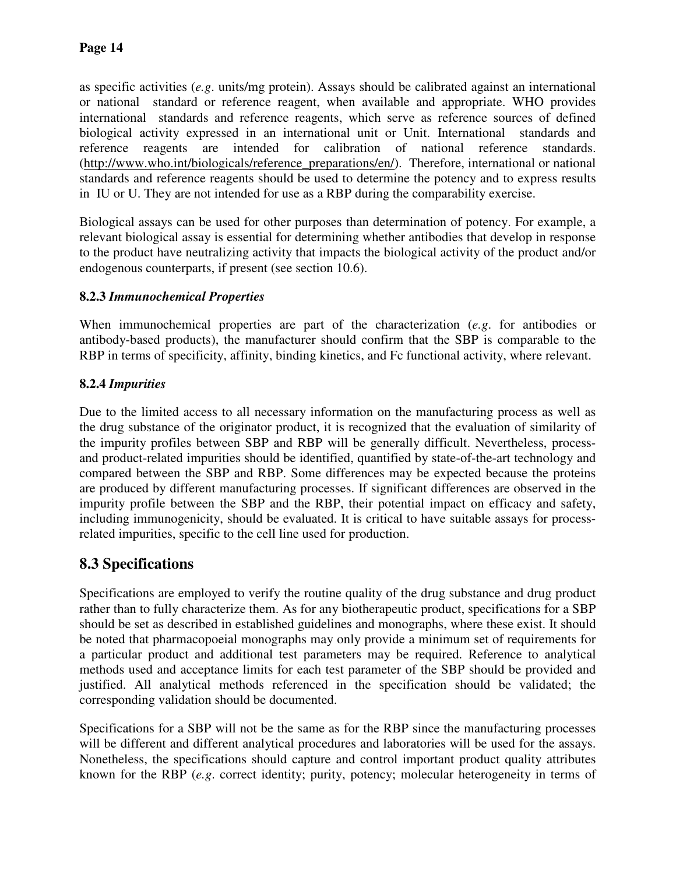as specific activities (*e.g*. units/mg protein). Assays should be calibrated against an international or national standard or reference reagent, when available and appropriate. WHO provides international standards and reference reagents, which serve as reference sources of defined biological activity expressed in an international unit or Unit. International standards and reference reagents are intended for calibration of national reference standards. (http://www.who.int/biologicals/reference\_preparations/en/). Therefore, international or national standards and reference reagents should be used to determine the potency and to express results in IU or U. They are not intended for use as a RBP during the comparability exercise.

Biological assays can be used for other purposes than determination of potency. For example, a relevant biological assay is essential for determining whether antibodies that develop in response to the product have neutralizing activity that impacts the biological activity of the product and/or endogenous counterparts, if present (see section 10.6).

#### **8.2.3** *Immunochemical Properties*

When immunochemical properties are part of the characterization (*e.g*. for antibodies or antibody-based products), the manufacturer should confirm that the SBP is comparable to the RBP in terms of specificity, affinity, binding kinetics, and Fc functional activity, where relevant.

#### **8.2.4** *Impurities*

Due to the limited access to all necessary information on the manufacturing process as well as the drug substance of the originator product, it is recognized that the evaluation of similarity of the impurity profiles between SBP and RBP will be generally difficult. Nevertheless, processand product-related impurities should be identified, quantified by state-of-the-art technology and compared between the SBP and RBP. Some differences may be expected because the proteins are produced by different manufacturing processes. If significant differences are observed in the impurity profile between the SBP and the RBP, their potential impact on efficacy and safety, including immunogenicity, should be evaluated. It is critical to have suitable assays for processrelated impurities, specific to the cell line used for production.

### **8.3 Specifications**

Specifications are employed to verify the routine quality of the drug substance and drug product rather than to fully characterize them. As for any biotherapeutic product, specifications for a SBP should be set as described in established guidelines and monographs, where these exist. It should be noted that pharmacopoeial monographs may only provide a minimum set of requirements for a particular product and additional test parameters may be required. Reference to analytical methods used and acceptance limits for each test parameter of the SBP should be provided and justified. All analytical methods referenced in the specification should be validated; the corresponding validation should be documented.

Specifications for a SBP will not be the same as for the RBP since the manufacturing processes will be different and different analytical procedures and laboratories will be used for the assays. Nonetheless, the specifications should capture and control important product quality attributes known for the RBP (*e.g*. correct identity; purity, potency; molecular heterogeneity in terms of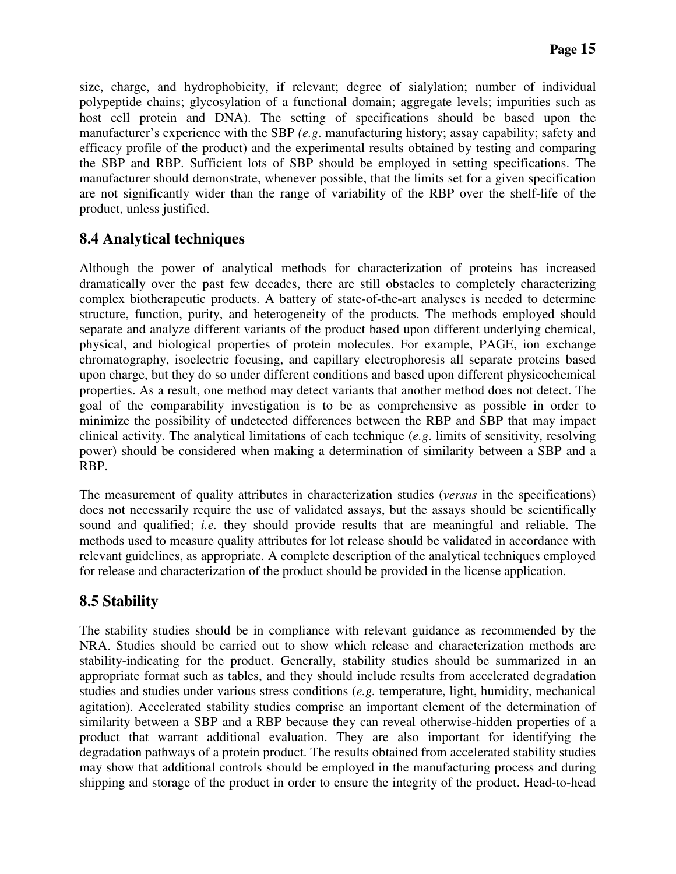size, charge, and hydrophobicity, if relevant; degree of sialylation; number of individual polypeptide chains; glycosylation of a functional domain; aggregate levels; impurities such as host cell protein and DNA). The setting of specifications should be based upon the manufacturer's experience with the SBP *(e.g*. manufacturing history; assay capability; safety and efficacy profile of the product) and the experimental results obtained by testing and comparing the SBP and RBP. Sufficient lots of SBP should be employed in setting specifications. The manufacturer should demonstrate, whenever possible, that the limits set for a given specification are not significantly wider than the range of variability of the RBP over the shelf-life of the product, unless justified.

### **8.4 Analytical techniques**

Although the power of analytical methods for characterization of proteins has increased dramatically over the past few decades, there are still obstacles to completely characterizing complex biotherapeutic products. A battery of state-of-the-art analyses is needed to determine structure, function, purity, and heterogeneity of the products. The methods employed should separate and analyze different variants of the product based upon different underlying chemical, physical, and biological properties of protein molecules. For example, PAGE, ion exchange chromatography, isoelectric focusing, and capillary electrophoresis all separate proteins based upon charge, but they do so under different conditions and based upon different physicochemical properties. As a result, one method may detect variants that another method does not detect. The goal of the comparability investigation is to be as comprehensive as possible in order to minimize the possibility of undetected differences between the RBP and SBP that may impact clinical activity. The analytical limitations of each technique (*e.g*. limits of sensitivity, resolving power) should be considered when making a determination of similarity between a SBP and a RBP.

The measurement of quality attributes in characterization studies (*versus* in the specifications) does not necessarily require the use of validated assays, but the assays should be scientifically sound and qualified; *i.e.* they should provide results that are meaningful and reliable. The methods used to measure quality attributes for lot release should be validated in accordance with relevant guidelines, as appropriate. A complete description of the analytical techniques employed for release and characterization of the product should be provided in the license application.

### **8.5 Stability**

The stability studies should be in compliance with relevant guidance as recommended by the NRA. Studies should be carried out to show which release and characterization methods are stability-indicating for the product. Generally, stability studies should be summarized in an appropriate format such as tables, and they should include results from accelerated degradation studies and studies under various stress conditions (*e.g.* temperature, light, humidity, mechanical agitation). Accelerated stability studies comprise an important element of the determination of similarity between a SBP and a RBP because they can reveal otherwise-hidden properties of a product that warrant additional evaluation. They are also important for identifying the degradation pathways of a protein product. The results obtained from accelerated stability studies may show that additional controls should be employed in the manufacturing process and during shipping and storage of the product in order to ensure the integrity of the product. Head-to-head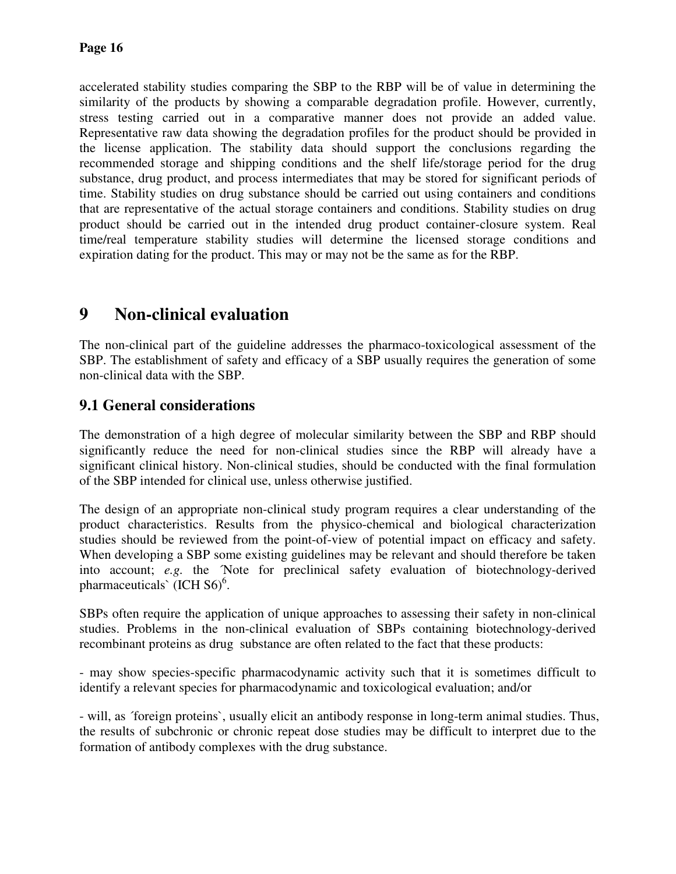accelerated stability studies comparing the SBP to the RBP will be of value in determining the similarity of the products by showing a comparable degradation profile. However, currently, stress testing carried out in a comparative manner does not provide an added value. Representative raw data showing the degradation profiles for the product should be provided in the license application. The stability data should support the conclusions regarding the recommended storage and shipping conditions and the shelf life/storage period for the drug substance, drug product, and process intermediates that may be stored for significant periods of time. Stability studies on drug substance should be carried out using containers and conditions that are representative of the actual storage containers and conditions. Stability studies on drug product should be carried out in the intended drug product container-closure system. Real time/real temperature stability studies will determine the licensed storage conditions and expiration dating for the product. This may or may not be the same as for the RBP.

# **9 Non-clinical evaluation**

The non-clinical part of the guideline addresses the pharmaco-toxicological assessment of the SBP. The establishment of safety and efficacy of a SBP usually requires the generation of some non-clinical data with the SBP.

### **9.1 General considerations**

The demonstration of a high degree of molecular similarity between the SBP and RBP should significantly reduce the need for non-clinical studies since the RBP will already have a significant clinical history. Non-clinical studies, should be conducted with the final formulation of the SBP intended for clinical use, unless otherwise justified.

The design of an appropriate non-clinical study program requires a clear understanding of the product characteristics. Results from the physico-chemical and biological characterization studies should be reviewed from the point-of-view of potential impact on efficacy and safety. When developing a SBP some existing guidelines may be relevant and should therefore be taken into account; *e.g.* the ´Note for preclinical safety evaluation of biotechnology-derived pharmaceuticals`  $(LCH S6)^6$ .

SBPs often require the application of unique approaches to assessing their safety in non-clinical studies. Problems in the non-clinical evaluation of SBPs containing biotechnology-derived recombinant proteins as drug substance are often related to the fact that these products:

- may show species-specific pharmacodynamic activity such that it is sometimes difficult to identify a relevant species for pharmacodynamic and toxicological evaluation; and/or

- will, as ´foreign proteins`, usually elicit an antibody response in long-term animal studies. Thus, the results of subchronic or chronic repeat dose studies may be difficult to interpret due to the formation of antibody complexes with the drug substance.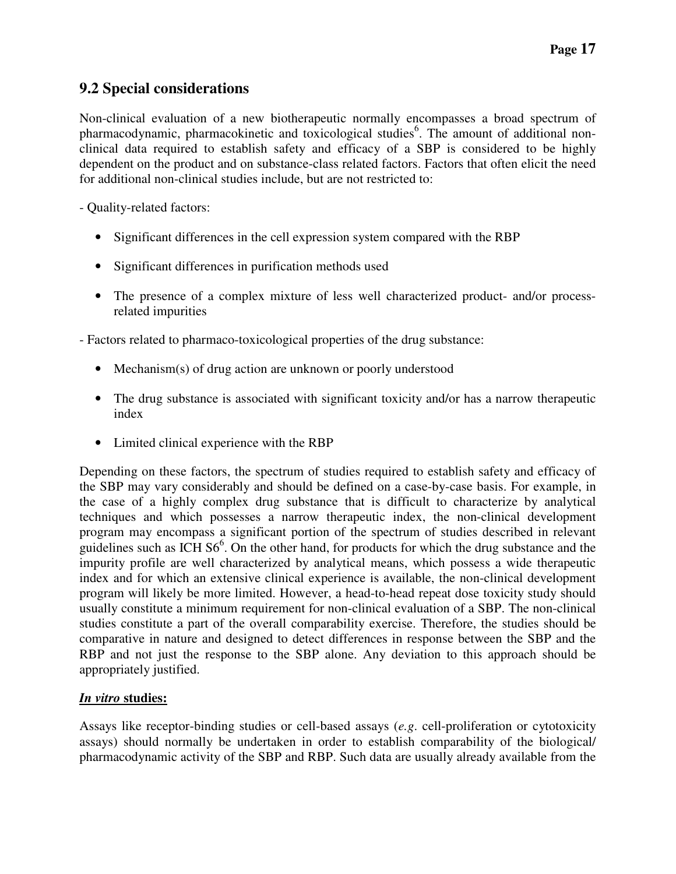### **9.2 Special considerations**

Non-clinical evaluation of a new biotherapeutic normally encompasses a broad spectrum of pharmacodynamic, pharmacokinetic and toxicological studies<sup>6</sup>. The amount of additional nonclinical data required to establish safety and efficacy of a SBP is considered to be highly dependent on the product and on substance-class related factors. Factors that often elicit the need for additional non-clinical studies include, but are not restricted to:

- Quality-related factors:

- Significant differences in the cell expression system compared with the RBP
- Significant differences in purification methods used
- The presence of a complex mixture of less well characterized product- and/or processrelated impurities

- Factors related to pharmaco-toxicological properties of the drug substance:

- Mechanism(s) of drug action are unknown or poorly understood
- The drug substance is associated with significant toxicity and/or has a narrow therapeutic index
- Limited clinical experience with the RBP

Depending on these factors, the spectrum of studies required to establish safety and efficacy of the SBP may vary considerably and should be defined on a case-by-case basis. For example, in the case of a highly complex drug substance that is difficult to characterize by analytical techniques and which possesses a narrow therapeutic index, the non-clinical development program may encompass a significant portion of the spectrum of studies described in relevant guidelines such as ICH  $S6<sup>6</sup>$ . On the other hand, for products for which the drug substance and the impurity profile are well characterized by analytical means, which possess a wide therapeutic index and for which an extensive clinical experience is available, the non-clinical development program will likely be more limited. However, a head-to-head repeat dose toxicity study should usually constitute a minimum requirement for non-clinical evaluation of a SBP. The non-clinical studies constitute a part of the overall comparability exercise. Therefore, the studies should be comparative in nature and designed to detect differences in response between the SBP and the RBP and not just the response to the SBP alone. Any deviation to this approach should be appropriately justified.

#### *In vitro* **studies:**

Assays like receptor-binding studies or cell-based assays (*e.g*. cell-proliferation or cytotoxicity assays) should normally be undertaken in order to establish comparability of the biological/ pharmacodynamic activity of the SBP and RBP. Such data are usually already available from the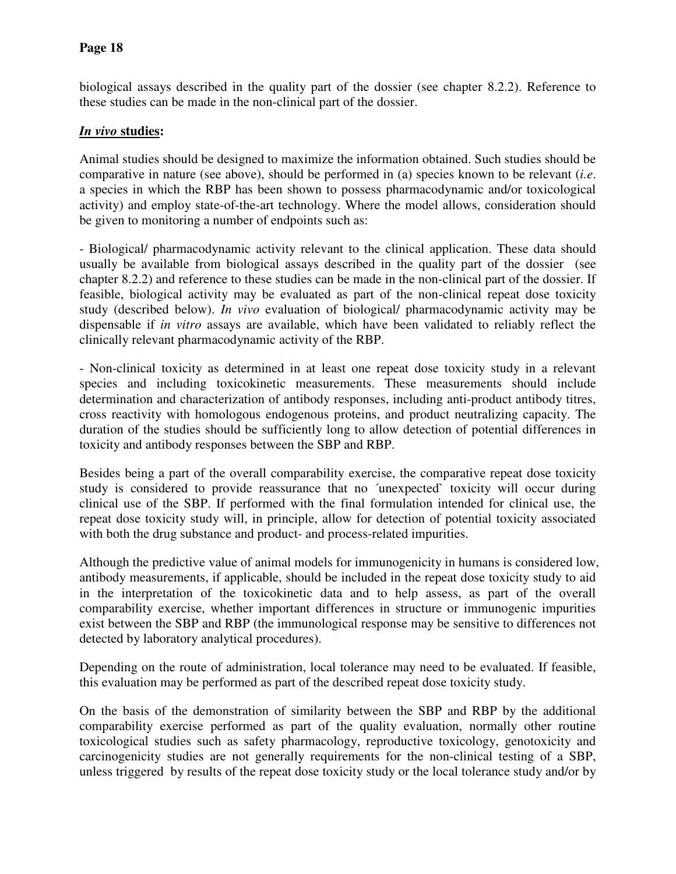#### **Page 18**

biological assays described in the quality part of the dossier (see chapter 8.2.2). Reference to these studies can be made in the non-clinical part of the dossier.

#### *In vivo* **studies:**

Animal studies should be designed to maximize the information obtained. Such studies should be comparative in nature (see above), should be performed in (a) species known to be relevant (*i.e*. a species in which the RBP has been shown to possess pharmacodynamic and/or toxicological activity) and employ state-of-the-art technology. Where the model allows, consideration should be given to monitoring a number of endpoints such as:

- Biological/ pharmacodynamic activity relevant to the clinical application. These data should usually be available from biological assays described in the quality part of the dossier (see chapter 8.2.2) and reference to these studies can be made in the non-clinical part of the dossier. If feasible, biological activity may be evaluated as part of the non-clinical repeat dose toxicity study (described below). *In vivo* evaluation of biological/ pharmacodynamic activity may be dispensable if *in vitro* assays are available, which have been validated to reliably reflect the clinically relevant pharmacodynamic activity of the RBP.

- Non-clinical toxicity as determined in at least one repeat dose toxicity study in a relevant species and including toxicokinetic measurements. These measurements should include determination and characterization of antibody responses, including anti-product antibody titres, cross reactivity with homologous endogenous proteins, and product neutralizing capacity. The duration of the studies should be sufficiently long to allow detection of potential differences in toxicity and antibody responses between the SBP and RBP.

Besides being a part of the overall comparability exercise, the comparative repeat dose toxicity study is considered to provide reassurance that no ´unexpected` toxicity will occur during clinical use of the SBP. If performed with the final formulation intended for clinical use, the repeat dose toxicity study will, in principle, allow for detection of potential toxicity associated with both the drug substance and product- and process-related impurities.

Although the predictive value of animal models for immunogenicity in humans is considered low, antibody measurements, if applicable, should be included in the repeat dose toxicity study to aid in the interpretation of the toxicokinetic data and to help assess, as part of the overall comparability exercise, whether important differences in structure or immunogenic impurities exist between the SBP and RBP (the immunological response may be sensitive to differences not detected by laboratory analytical procedures).

Depending on the route of administration, local tolerance may need to be evaluated. If feasible, this evaluation may be performed as part of the described repeat dose toxicity study.

On the basis of the demonstration of similarity between the SBP and RBP by the additional comparability exercise performed as part of the quality evaluation, normally other routine toxicological studies such as safety pharmacology, reproductive toxicology, genotoxicity and carcinogenicity studies are not generally requirements for the non-clinical testing of a SBP, unless triggered by results of the repeat dose toxicity study or the local tolerance study and/or by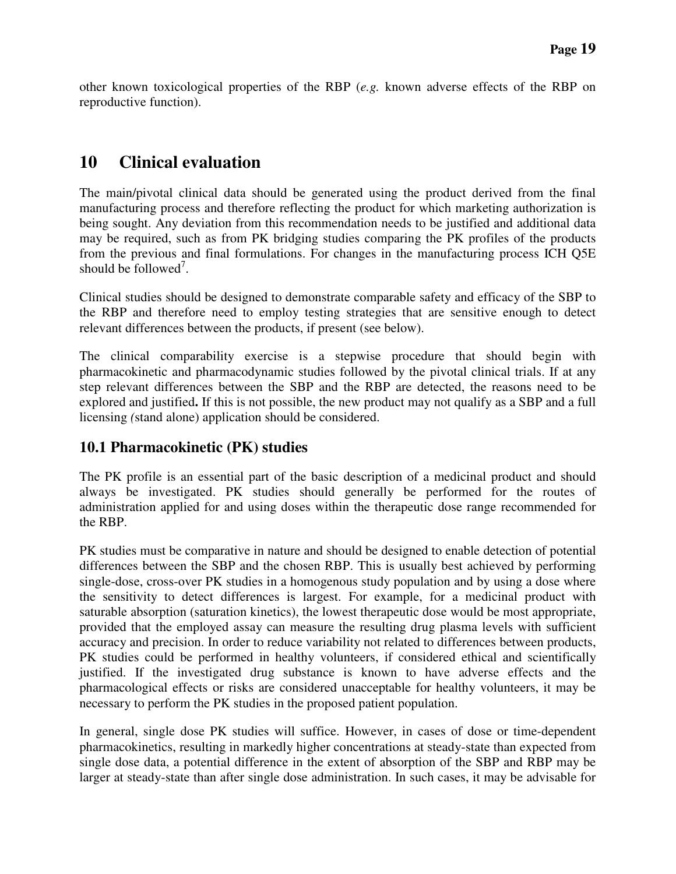other known toxicological properties of the RBP (*e.g.* known adverse effects of the RBP on reproductive function).

# **10 Clinical evaluation**

The main/pivotal clinical data should be generated using the product derived from the final manufacturing process and therefore reflecting the product for which marketing authorization is being sought. Any deviation from this recommendation needs to be justified and additional data may be required, such as from PK bridging studies comparing the PK profiles of the products from the previous and final formulations. For changes in the manufacturing process ICH Q5E should be followed<sup>7</sup>.

Clinical studies should be designed to demonstrate comparable safety and efficacy of the SBP to the RBP and therefore need to employ testing strategies that are sensitive enough to detect relevant differences between the products, if present (see below).

The clinical comparability exercise is a stepwise procedure that should begin with pharmacokinetic and pharmacodynamic studies followed by the pivotal clinical trials. If at any step relevant differences between the SBP and the RBP are detected, the reasons need to be explored and justified**.** If this is not possible, the new product may not qualify as a SBP and a full licensing *(*stand alone) application should be considered.

### **10.1 Pharmacokinetic (PK) studies**

The PK profile is an essential part of the basic description of a medicinal product and should always be investigated. PK studies should generally be performed for the routes of administration applied for and using doses within the therapeutic dose range recommended for the RBP.

PK studies must be comparative in nature and should be designed to enable detection of potential differences between the SBP and the chosen RBP. This is usually best achieved by performing single-dose, cross-over PK studies in a homogenous study population and by using a dose where the sensitivity to detect differences is largest. For example, for a medicinal product with saturable absorption (saturation kinetics), the lowest therapeutic dose would be most appropriate, provided that the employed assay can measure the resulting drug plasma levels with sufficient accuracy and precision. In order to reduce variability not related to differences between products, PK studies could be performed in healthy volunteers, if considered ethical and scientifically justified. If the investigated drug substance is known to have adverse effects and the pharmacological effects or risks are considered unacceptable for healthy volunteers, it may be necessary to perform the PK studies in the proposed patient population.

In general, single dose PK studies will suffice. However, in cases of dose or time-dependent pharmacokinetics, resulting in markedly higher concentrations at steady-state than expected from single dose data, a potential difference in the extent of absorption of the SBP and RBP may be larger at steady-state than after single dose administration. In such cases, it may be advisable for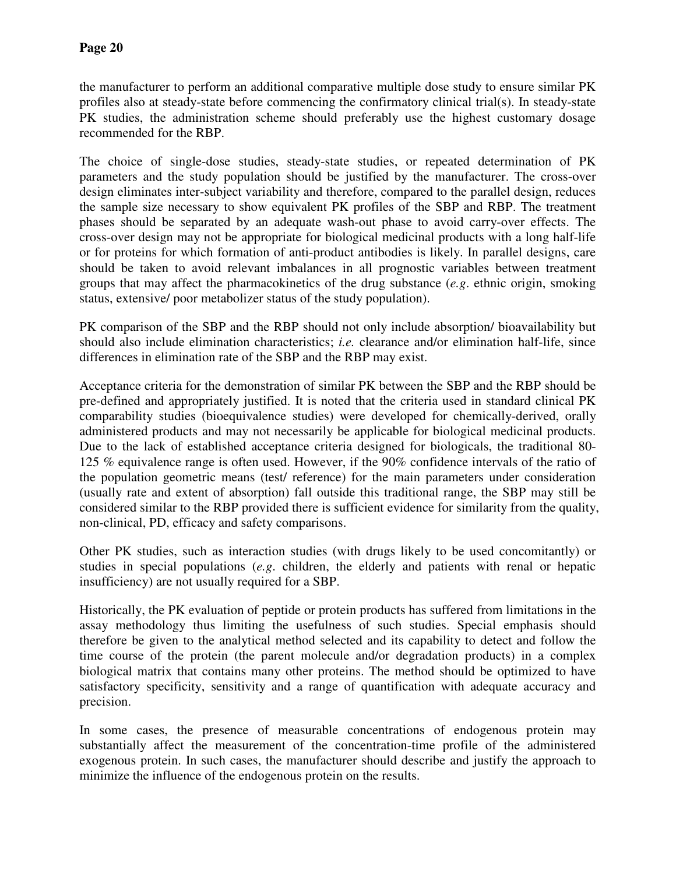the manufacturer to perform an additional comparative multiple dose study to ensure similar PK profiles also at steady-state before commencing the confirmatory clinical trial(s). In steady-state PK studies, the administration scheme should preferably use the highest customary dosage recommended for the RBP.

The choice of single-dose studies, steady-state studies, or repeated determination of PK parameters and the study population should be justified by the manufacturer. The cross-over design eliminates inter-subject variability and therefore, compared to the parallel design, reduces the sample size necessary to show equivalent PK profiles of the SBP and RBP. The treatment phases should be separated by an adequate wash-out phase to avoid carry-over effects. The cross-over design may not be appropriate for biological medicinal products with a long half-life or for proteins for which formation of anti-product antibodies is likely. In parallel designs, care should be taken to avoid relevant imbalances in all prognostic variables between treatment groups that may affect the pharmacokinetics of the drug substance (*e.g*. ethnic origin, smoking status, extensive/ poor metabolizer status of the study population).

PK comparison of the SBP and the RBP should not only include absorption/ bioavailability but should also include elimination characteristics; *i.e.* clearance and/or elimination half-life, since differences in elimination rate of the SBP and the RBP may exist.

Acceptance criteria for the demonstration of similar PK between the SBP and the RBP should be pre-defined and appropriately justified. It is noted that the criteria used in standard clinical PK comparability studies (bioequivalence studies) were developed for chemically-derived, orally administered products and may not necessarily be applicable for biological medicinal products. Due to the lack of established acceptance criteria designed for biologicals, the traditional 80- 125 % equivalence range is often used. However, if the 90% confidence intervals of the ratio of the population geometric means (test/ reference) for the main parameters under consideration (usually rate and extent of absorption) fall outside this traditional range, the SBP may still be considered similar to the RBP provided there is sufficient evidence for similarity from the quality, non-clinical, PD, efficacy and safety comparisons.

Other PK studies, such as interaction studies (with drugs likely to be used concomitantly) or studies in special populations (*e.g*. children, the elderly and patients with renal or hepatic insufficiency) are not usually required for a SBP.

Historically, the PK evaluation of peptide or protein products has suffered from limitations in the assay methodology thus limiting the usefulness of such studies. Special emphasis should therefore be given to the analytical method selected and its capability to detect and follow the time course of the protein (the parent molecule and/or degradation products) in a complex biological matrix that contains many other proteins. The method should be optimized to have satisfactory specificity, sensitivity and a range of quantification with adequate accuracy and precision.

In some cases, the presence of measurable concentrations of endogenous protein may substantially affect the measurement of the concentration-time profile of the administered exogenous protein. In such cases, the manufacturer should describe and justify the approach to minimize the influence of the endogenous protein on the results.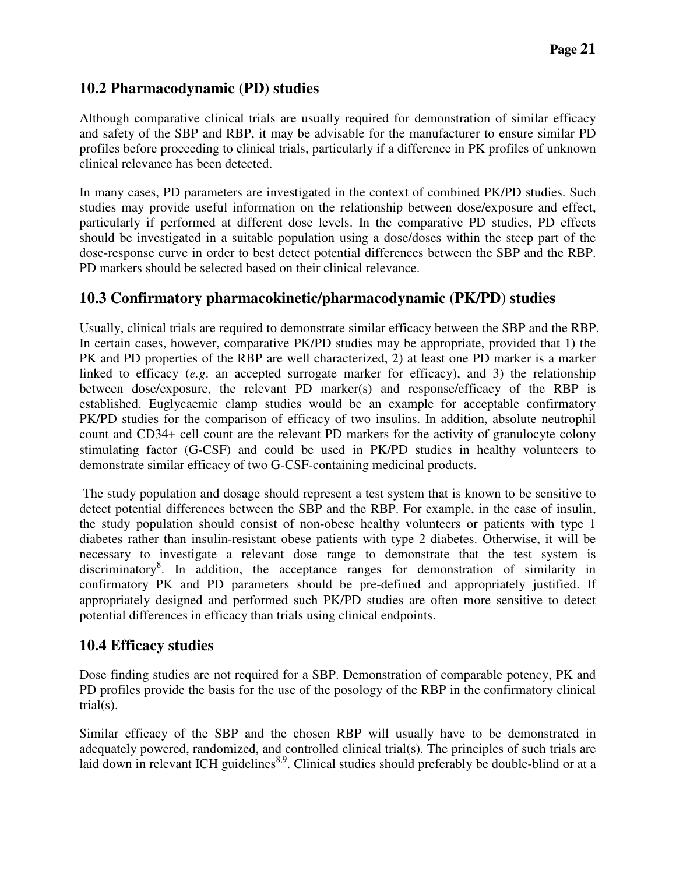### **10.2 Pharmacodynamic (PD) studies**

Although comparative clinical trials are usually required for demonstration of similar efficacy and safety of the SBP and RBP, it may be advisable for the manufacturer to ensure similar PD profiles before proceeding to clinical trials, particularly if a difference in PK profiles of unknown clinical relevance has been detected.

In many cases, PD parameters are investigated in the context of combined PK/PD studies. Such studies may provide useful information on the relationship between dose/exposure and effect, particularly if performed at different dose levels. In the comparative PD studies, PD effects should be investigated in a suitable population using a dose/doses within the steep part of the dose-response curve in order to best detect potential differences between the SBP and the RBP. PD markers should be selected based on their clinical relevance.

### **10.3 Confirmatory pharmacokinetic/pharmacodynamic (PK/PD) studies**

Usually, clinical trials are required to demonstrate similar efficacy between the SBP and the RBP. In certain cases, however, comparative PK/PD studies may be appropriate, provided that 1) the PK and PD properties of the RBP are well characterized, 2) at least one PD marker is a marker linked to efficacy (*e.g.* an accepted surrogate marker for efficacy), and 3) the relationship between dose/exposure, the relevant PD marker(s) and response/efficacy of the RBP is established. Euglycaemic clamp studies would be an example for acceptable confirmatory PK/PD studies for the comparison of efficacy of two insulins. In addition, absolute neutrophil count and CD34+ cell count are the relevant PD markers for the activity of granulocyte colony stimulating factor (G-CSF) and could be used in PK/PD studies in healthy volunteers to demonstrate similar efficacy of two G-CSF-containing medicinal products.

 The study population and dosage should represent a test system that is known to be sensitive to detect potential differences between the SBP and the RBP. For example, in the case of insulin, the study population should consist of non-obese healthy volunteers or patients with type 1 diabetes rather than insulin-resistant obese patients with type 2 diabetes. Otherwise, it will be necessary to investigate a relevant dose range to demonstrate that the test system is discriminatory<sup>8</sup>. In addition, the acceptance ranges for demonstration of similarity in confirmatory PK and PD parameters should be pre-defined and appropriately justified. If appropriately designed and performed such PK/PD studies are often more sensitive to detect potential differences in efficacy than trials using clinical endpoints.

### **10.4 Efficacy studies**

Dose finding studies are not required for a SBP. Demonstration of comparable potency, PK and PD profiles provide the basis for the use of the posology of the RBP in the confirmatory clinical  $trial(s)$ .

Similar efficacy of the SBP and the chosen RBP will usually have to be demonstrated in adequately powered, randomized, and controlled clinical trial(s). The principles of such trials are laid down in relevant ICH guidelines<sup>8,9</sup>. Clinical studies should preferably be double-blind or at a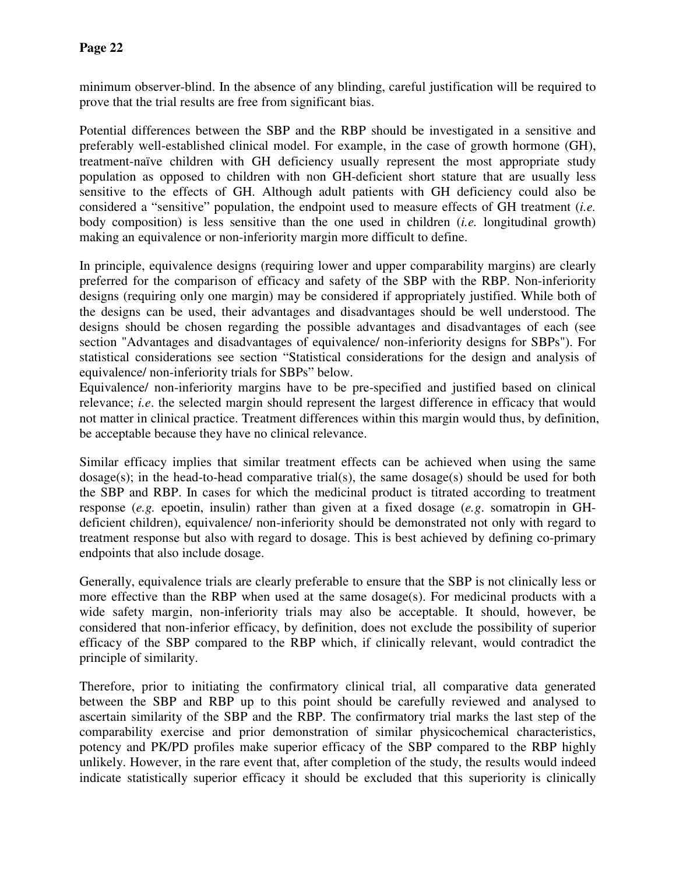minimum observer-blind. In the absence of any blinding, careful justification will be required to prove that the trial results are free from significant bias.

Potential differences between the SBP and the RBP should be investigated in a sensitive and preferably well-established clinical model. For example, in the case of growth hormone (GH), treatment-naïve children with GH deficiency usually represent the most appropriate study population as opposed to children with non GH-deficient short stature that are usually less sensitive to the effects of GH. Although adult patients with GH deficiency could also be considered a "sensitive" population, the endpoint used to measure effects of GH treatment (*i.e.* body composition) is less sensitive than the one used in children (*i.e.* longitudinal growth) making an equivalence or non-inferiority margin more difficult to define.

In principle, equivalence designs (requiring lower and upper comparability margins) are clearly preferred for the comparison of efficacy and safety of the SBP with the RBP. Non-inferiority designs (requiring only one margin) may be considered if appropriately justified. While both of the designs can be used, their advantages and disadvantages should be well understood. The designs should be chosen regarding the possible advantages and disadvantages of each (see section "Advantages and disadvantages of equivalence/ non-inferiority designs for SBPs"). For statistical considerations see section "Statistical considerations for the design and analysis of equivalence/ non-inferiority trials for SBPs" below.

Equivalence/ non-inferiority margins have to be pre-specified and justified based on clinical relevance; *i.e*. the selected margin should represent the largest difference in efficacy that would not matter in clinical practice. Treatment differences within this margin would thus, by definition, be acceptable because they have no clinical relevance.

Similar efficacy implies that similar treatment effects can be achieved when using the same dosage(s); in the head-to-head comparative trial(s), the same dosage(s) should be used for both the SBP and RBP. In cases for which the medicinal product is titrated according to treatment response (*e.g.* epoetin, insulin) rather than given at a fixed dosage (*e.g*. somatropin in GHdeficient children), equivalence/ non-inferiority should be demonstrated not only with regard to treatment response but also with regard to dosage. This is best achieved by defining co-primary endpoints that also include dosage.

Generally, equivalence trials are clearly preferable to ensure that the SBP is not clinically less or more effective than the RBP when used at the same dosage(s). For medicinal products with a wide safety margin, non-inferiority trials may also be acceptable. It should, however, be considered that non-inferior efficacy, by definition, does not exclude the possibility of superior efficacy of the SBP compared to the RBP which, if clinically relevant, would contradict the principle of similarity.

Therefore, prior to initiating the confirmatory clinical trial, all comparative data generated between the SBP and RBP up to this point should be carefully reviewed and analysed to ascertain similarity of the SBP and the RBP. The confirmatory trial marks the last step of the comparability exercise and prior demonstration of similar physicochemical characteristics, potency and PK/PD profiles make superior efficacy of the SBP compared to the RBP highly unlikely. However, in the rare event that, after completion of the study, the results would indeed indicate statistically superior efficacy it should be excluded that this superiority is clinically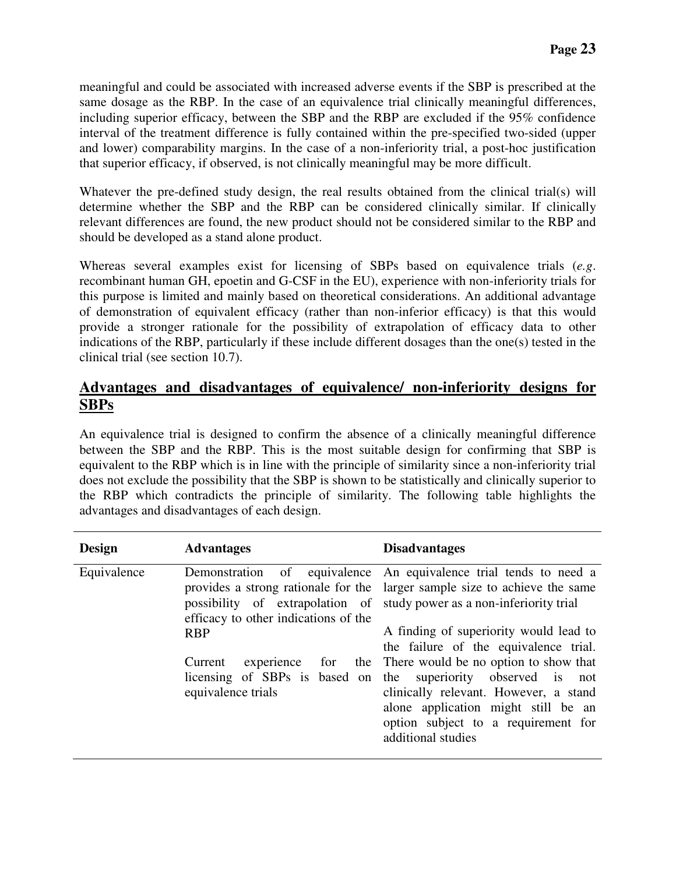meaningful and could be associated with increased adverse events if the SBP is prescribed at the same dosage as the RBP. In the case of an equivalence trial clinically meaningful differences, including superior efficacy, between the SBP and the RBP are excluded if the 95% confidence interval of the treatment difference is fully contained within the pre-specified two-sided (upper and lower) comparability margins. In the case of a non-inferiority trial, a post-hoc justification that superior efficacy, if observed, is not clinically meaningful may be more difficult.

Whatever the pre-defined study design, the real results obtained from the clinical trial(s) will determine whether the SBP and the RBP can be considered clinically similar. If clinically relevant differences are found, the new product should not be considered similar to the RBP and should be developed as a stand alone product.

Whereas several examples exist for licensing of SBPs based on equivalence trials (*e.g*. recombinant human GH, epoetin and G-CSF in the EU), experience with non-inferiority trials for this purpose is limited and mainly based on theoretical considerations. An additional advantage of demonstration of equivalent efficacy (rather than non-inferior efficacy) is that this would provide a stronger rationale for the possibility of extrapolation of efficacy data to other indications of the RBP, particularly if these include different dosages than the one(s) tested in the clinical trial (see section 10.7).

### **Advantages and disadvantages of equivalence/ non-inferiority designs for SBPs**

An equivalence trial is designed to confirm the absence of a clinically meaningful difference between the SBP and the RBP. This is the most suitable design for confirming that SBP is equivalent to the RBP which is in line with the principle of similarity since a non-inferiority trial does not exclude the possibility that the SBP is shown to be statistically and clinically superior to the RBP which contradicts the principle of similarity. The following table highlights the advantages and disadvantages of each design.

| Design      | <b>Advantages</b>                                                                                                                                                                                                   | <b>Disadvantages</b>                                                                                                                                                                                                                                                                                                                                                                                                                                                  |
|-------------|---------------------------------------------------------------------------------------------------------------------------------------------------------------------------------------------------------------------|-----------------------------------------------------------------------------------------------------------------------------------------------------------------------------------------------------------------------------------------------------------------------------------------------------------------------------------------------------------------------------------------------------------------------------------------------------------------------|
| Equivalence | provides a strong rationale for the<br>possibility of extrapolation of<br>efficacy to other indications of the<br><b>RBP</b><br>Current<br>experience<br>for<br>licensing of SBPs is based on<br>equivalence trials | Demonstration of equivalence An equivalence trial tends to need a<br>larger sample size to achieve the same<br>study power as a non-inferiority trial<br>A finding of superiority would lead to<br>the failure of the equivalence trial.<br>the There would be no option to show that<br>the superiority observed is not<br>clinically relevant. However, a stand<br>alone application might still be an<br>option subject to a requirement for<br>additional studies |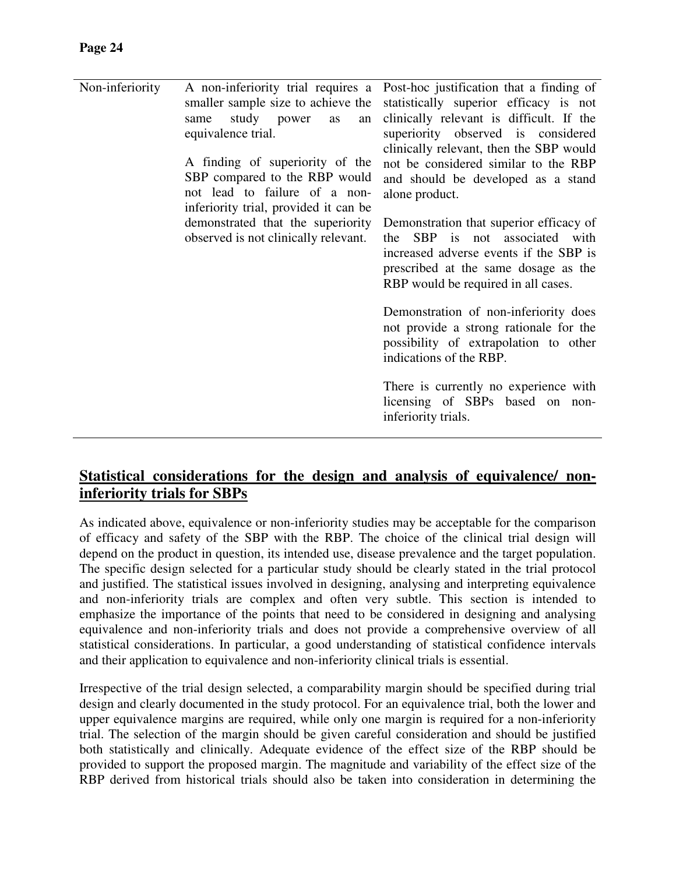| Non-inferiority | A non-inferiority trial requires a<br>smaller sample size to achieve the<br>study power<br>same<br><b>as</b><br>an<br>equivalence trial.<br>A finding of superiority of the<br>SBP compared to the RBP would<br>not lead to failure of a non-<br>inferiority trial, provided it can be<br>demonstrated that the superiority<br>observed is not clinically relevant. | Post-hoc justification that a finding of<br>statistically superior efficacy is not<br>clinically relevant is difficult. If the<br>superiority observed is considered<br>clinically relevant, then the SBP would<br>not be considered similar to the RBP<br>and should be developed as a stand<br>alone product. |
|-----------------|---------------------------------------------------------------------------------------------------------------------------------------------------------------------------------------------------------------------------------------------------------------------------------------------------------------------------------------------------------------------|-----------------------------------------------------------------------------------------------------------------------------------------------------------------------------------------------------------------------------------------------------------------------------------------------------------------|
|                 |                                                                                                                                                                                                                                                                                                                                                                     | Demonstration that superior efficacy of<br>SBP is not associated with<br>the<br>increased adverse events if the SBP is<br>prescribed at the same dosage as the<br>RBP would be required in all cases.                                                                                                           |
|                 |                                                                                                                                                                                                                                                                                                                                                                     | Demonstration of non-inferiority does<br>not provide a strong rationale for the<br>possibility of extrapolation to other<br>indications of the RBP.                                                                                                                                                             |
|                 |                                                                                                                                                                                                                                                                                                                                                                     | There is currently no experience with<br>licensing of SBPs based on non-<br>inferiority trials.                                                                                                                                                                                                                 |

### **Statistical considerations for the design and analysis of equivalence/ noninferiority trials for SBPs**

As indicated above, equivalence or non-inferiority studies may be acceptable for the comparison of efficacy and safety of the SBP with the RBP. The choice of the clinical trial design will depend on the product in question, its intended use, disease prevalence and the target population. The specific design selected for a particular study should be clearly stated in the trial protocol and justified. The statistical issues involved in designing, analysing and interpreting equivalence and non-inferiority trials are complex and often very subtle. This section is intended to emphasize the importance of the points that need to be considered in designing and analysing equivalence and non-inferiority trials and does not provide a comprehensive overview of all statistical considerations. In particular, a good understanding of statistical confidence intervals and their application to equivalence and non-inferiority clinical trials is essential.

Irrespective of the trial design selected, a comparability margin should be specified during trial design and clearly documented in the study protocol. For an equivalence trial, both the lower and upper equivalence margins are required, while only one margin is required for a non-inferiority trial. The selection of the margin should be given careful consideration and should be justified both statistically and clinically. Adequate evidence of the effect size of the RBP should be provided to support the proposed margin. The magnitude and variability of the effect size of the RBP derived from historical trials should also be taken into consideration in determining the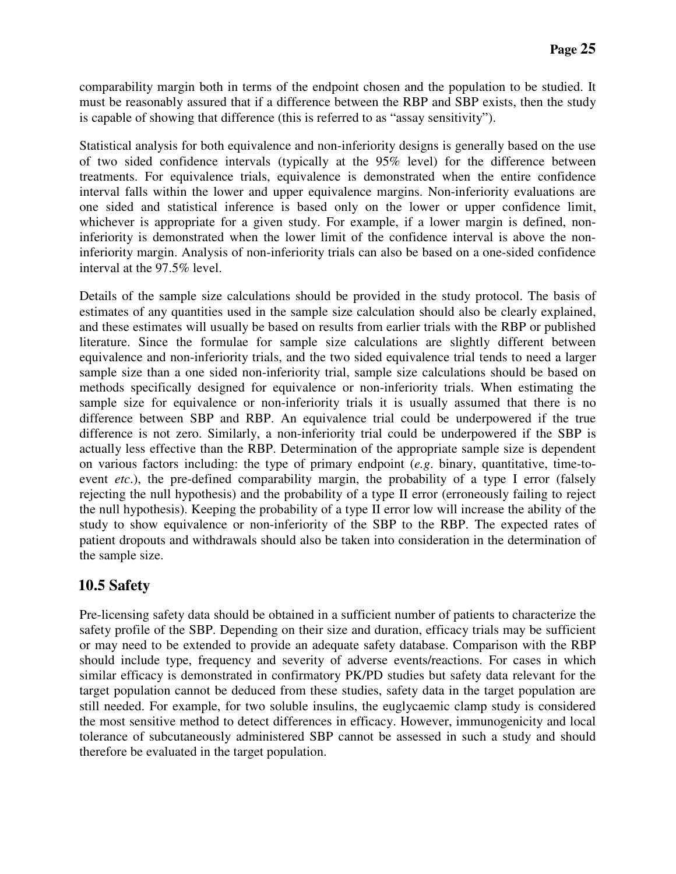comparability margin both in terms of the endpoint chosen and the population to be studied. It must be reasonably assured that if a difference between the RBP and SBP exists, then the study is capable of showing that difference (this is referred to as "assay sensitivity").

Statistical analysis for both equivalence and non-inferiority designs is generally based on the use of two sided confidence intervals (typically at the 95% level) for the difference between treatments. For equivalence trials, equivalence is demonstrated when the entire confidence interval falls within the lower and upper equivalence margins. Non-inferiority evaluations are one sided and statistical inference is based only on the lower or upper confidence limit, whichever is appropriate for a given study. For example, if a lower margin is defined, noninferiority is demonstrated when the lower limit of the confidence interval is above the noninferiority margin. Analysis of non-inferiority trials can also be based on a one-sided confidence interval at the 97.5% level.

Details of the sample size calculations should be provided in the study protocol. The basis of estimates of any quantities used in the sample size calculation should also be clearly explained, and these estimates will usually be based on results from earlier trials with the RBP or published literature. Since the formulae for sample size calculations are slightly different between equivalence and non-inferiority trials, and the two sided equivalence trial tends to need a larger sample size than a one sided non-inferiority trial, sample size calculations should be based on methods specifically designed for equivalence or non-inferiority trials. When estimating the sample size for equivalence or non-inferiority trials it is usually assumed that there is no difference between SBP and RBP. An equivalence trial could be underpowered if the true difference is not zero. Similarly, a non-inferiority trial could be underpowered if the SBP is actually less effective than the RBP. Determination of the appropriate sample size is dependent on various factors including: the type of primary endpoint (*e.g*. binary, quantitative, time-toevent *etc*.), the pre-defined comparability margin, the probability of a type I error (falsely rejecting the null hypothesis) and the probability of a type II error (erroneously failing to reject the null hypothesis). Keeping the probability of a type II error low will increase the ability of the study to show equivalence or non-inferiority of the SBP to the RBP. The expected rates of patient dropouts and withdrawals should also be taken into consideration in the determination of the sample size.

### **10.5 Safety**

Pre-licensing safety data should be obtained in a sufficient number of patients to characterize the safety profile of the SBP. Depending on their size and duration, efficacy trials may be sufficient or may need to be extended to provide an adequate safety database. Comparison with the RBP should include type, frequency and severity of adverse events/reactions. For cases in which similar efficacy is demonstrated in confirmatory PK/PD studies but safety data relevant for the target population cannot be deduced from these studies, safety data in the target population are still needed. For example, for two soluble insulins, the euglycaemic clamp study is considered the most sensitive method to detect differences in efficacy. However, immunogenicity and local tolerance of subcutaneously administered SBP cannot be assessed in such a study and should therefore be evaluated in the target population.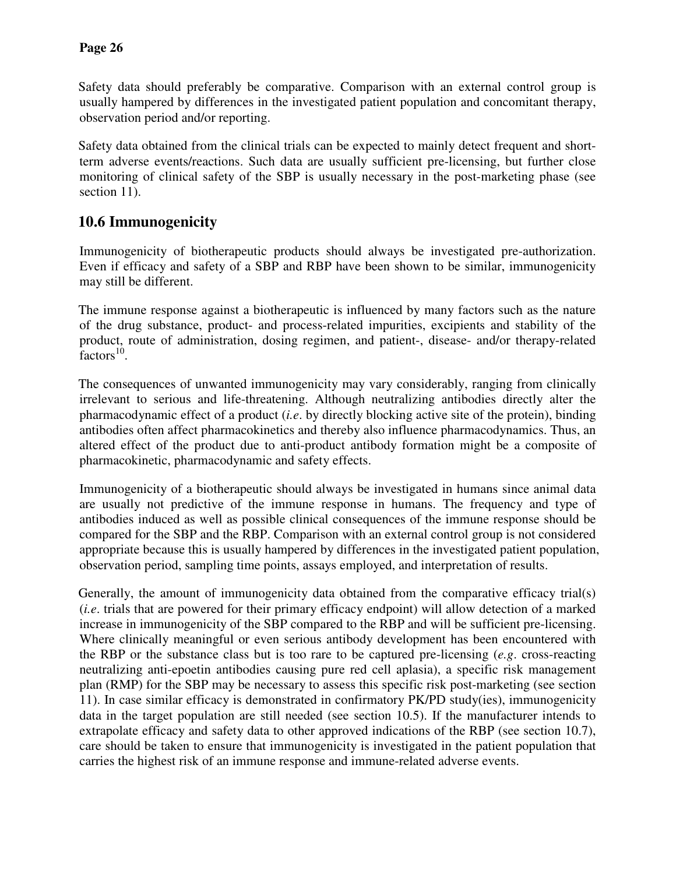Safety data should preferably be comparative. Comparison with an external control group is usually hampered by differences in the investigated patient population and concomitant therapy, observation period and/or reporting.

Safety data obtained from the clinical trials can be expected to mainly detect frequent and shortterm adverse events/reactions. Such data are usually sufficient pre-licensing, but further close monitoring of clinical safety of the SBP is usually necessary in the post-marketing phase (see section 11).

### **10.6 Immunogenicity**

Immunogenicity of biotherapeutic products should always be investigated pre-authorization. Even if efficacy and safety of a SBP and RBP have been shown to be similar, immunogenicity may still be different.

The immune response against a biotherapeutic is influenced by many factors such as the nature of the drug substance, product- and process-related impurities, excipients and stability of the product, route of administration, dosing regimen, and patient-, disease- and/or therapy-related  $factors<sup>10</sup>$ .

The consequences of unwanted immunogenicity may vary considerably, ranging from clinically irrelevant to serious and life-threatening. Although neutralizing antibodies directly alter the pharmacodynamic effect of a product (*i.e*. by directly blocking active site of the protein), binding antibodies often affect pharmacokinetics and thereby also influence pharmacodynamics. Thus, an altered effect of the product due to anti-product antibody formation might be a composite of pharmacokinetic, pharmacodynamic and safety effects.

Immunogenicity of a biotherapeutic should always be investigated in humans since animal data are usually not predictive of the immune response in humans. The frequency and type of antibodies induced as well as possible clinical consequences of the immune response should be compared for the SBP and the RBP. Comparison with an external control group is not considered appropriate because this is usually hampered by differences in the investigated patient population, observation period, sampling time points, assays employed, and interpretation of results.

Generally, the amount of immunogenicity data obtained from the comparative efficacy trial(s) (*i.e*. trials that are powered for their primary efficacy endpoint) will allow detection of a marked increase in immunogenicity of the SBP compared to the RBP and will be sufficient pre-licensing. Where clinically meaningful or even serious antibody development has been encountered with the RBP or the substance class but is too rare to be captured pre-licensing (*e.g*. cross-reacting neutralizing anti-epoetin antibodies causing pure red cell aplasia), a specific risk management plan (RMP) for the SBP may be necessary to assess this specific risk post-marketing (see section 11). In case similar efficacy is demonstrated in confirmatory PK/PD study(ies), immunogenicity data in the target population are still needed (see section 10.5). If the manufacturer intends to extrapolate efficacy and safety data to other approved indications of the RBP (see section 10.7), care should be taken to ensure that immunogenicity is investigated in the patient population that carries the highest risk of an immune response and immune-related adverse events.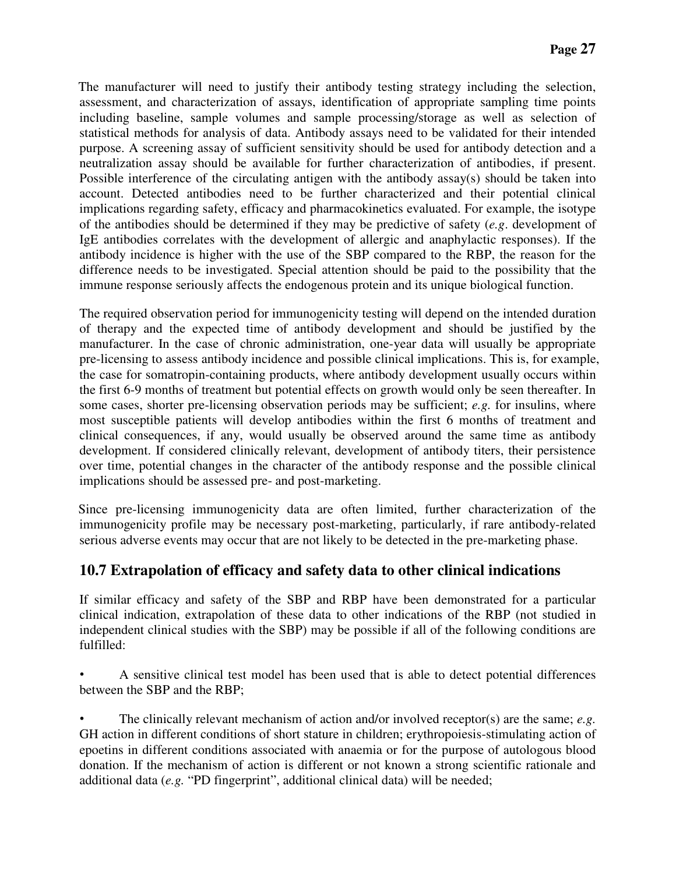The manufacturer will need to justify their antibody testing strategy including the selection, assessment, and characterization of assays, identification of appropriate sampling time points including baseline, sample volumes and sample processing/storage as well as selection of statistical methods for analysis of data. Antibody assays need to be validated for their intended purpose. A screening assay of sufficient sensitivity should be used for antibody detection and a neutralization assay should be available for further characterization of antibodies, if present. Possible interference of the circulating antigen with the antibody assay(s) should be taken into account. Detected antibodies need to be further characterized and their potential clinical implications regarding safety, efficacy and pharmacokinetics evaluated. For example, the isotype of the antibodies should be determined if they may be predictive of safety (*e.g*. development of IgE antibodies correlates with the development of allergic and anaphylactic responses). If the antibody incidence is higher with the use of the SBP compared to the RBP, the reason for the difference needs to be investigated. Special attention should be paid to the possibility that the immune response seriously affects the endogenous protein and its unique biological function.

The required observation period for immunogenicity testing will depend on the intended duration of therapy and the expected time of antibody development and should be justified by the manufacturer. In the case of chronic administration, one-year data will usually be appropriate pre-licensing to assess antibody incidence and possible clinical implications. This is, for example, the case for somatropin-containing products, where antibody development usually occurs within the first 6-9 months of treatment but potential effects on growth would only be seen thereafter. In some cases, shorter pre-licensing observation periods may be sufficient; *e.g.* for insulins, where most susceptible patients will develop antibodies within the first 6 months of treatment and clinical consequences, if any, would usually be observed around the same time as antibody development. If considered clinically relevant, development of antibody titers, their persistence over time, potential changes in the character of the antibody response and the possible clinical implications should be assessed pre- and post-marketing.

Since pre-licensing immunogenicity data are often limited, further characterization of the immunogenicity profile may be necessary post-marketing, particularly, if rare antibody-related serious adverse events may occur that are not likely to be detected in the pre-marketing phase.

### **10.7 Extrapolation of efficacy and safety data to other clinical indications**

If similar efficacy and safety of the SBP and RBP have been demonstrated for a particular clinical indication, extrapolation of these data to other indications of the RBP (not studied in independent clinical studies with the SBP) may be possible if all of the following conditions are fulfilled:

• A sensitive clinical test model has been used that is able to detect potential differences between the SBP and the RBP;

• The clinically relevant mechanism of action and/or involved receptor(s) are the same; *e.g.* GH action in different conditions of short stature in children; erythropoiesis-stimulating action of epoetins in different conditions associated with anaemia or for the purpose of autologous blood donation. If the mechanism of action is different or not known a strong scientific rationale and additional data (*e.g.* "PD fingerprint", additional clinical data) will be needed;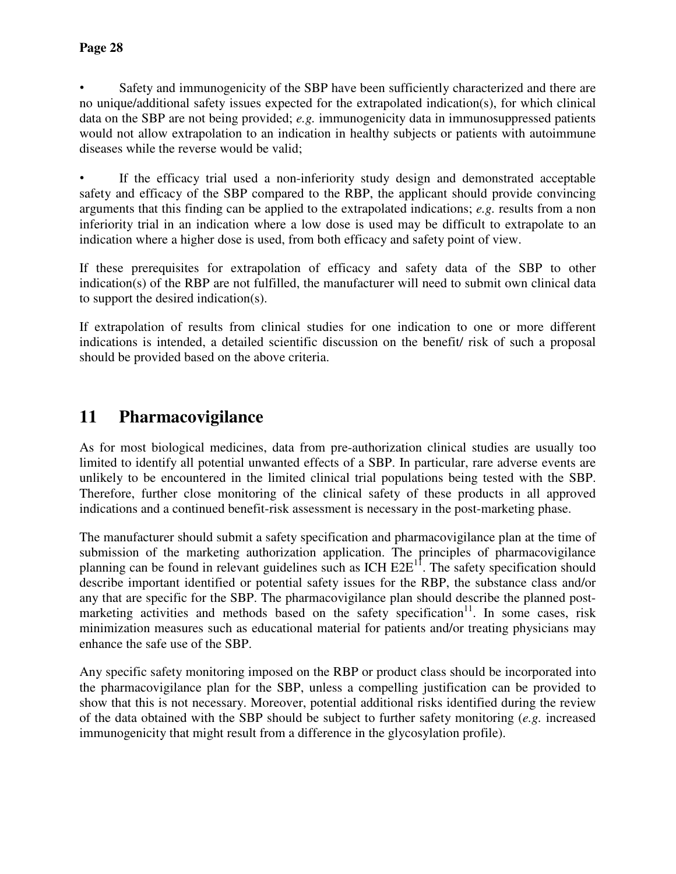#### **Page 28**

• Safety and immunogenicity of the SBP have been sufficiently characterized and there are no unique/additional safety issues expected for the extrapolated indication(s), for which clinical data on the SBP are not being provided; *e.g.* immunogenicity data in immunosuppressed patients would not allow extrapolation to an indication in healthy subjects or patients with autoimmune diseases while the reverse would be valid;

If the efficacy trial used a non-inferiority study design and demonstrated acceptable safety and efficacy of the SBP compared to the RBP, the applicant should provide convincing arguments that this finding can be applied to the extrapolated indications; *e.g.* results from a non inferiority trial in an indication where a low dose is used may be difficult to extrapolate to an indication where a higher dose is used, from both efficacy and safety point of view.

If these prerequisites for extrapolation of efficacy and safety data of the SBP to other indication(s) of the RBP are not fulfilled, the manufacturer will need to submit own clinical data to support the desired indication(s).

If extrapolation of results from clinical studies for one indication to one or more different indications is intended, a detailed scientific discussion on the benefit/ risk of such a proposal should be provided based on the above criteria.

# **11 Pharmacovigilance**

As for most biological medicines, data from pre-authorization clinical studies are usually too limited to identify all potential unwanted effects of a SBP. In particular, rare adverse events are unlikely to be encountered in the limited clinical trial populations being tested with the SBP. Therefore, further close monitoring of the clinical safety of these products in all approved indications and a continued benefit-risk assessment is necessary in the post-marketing phase.

The manufacturer should submit a safety specification and pharmacovigilance plan at the time of submission of the marketing authorization application. The principles of pharmacovigilance planning can be found in relevant guidelines such as ICH  $E2E^{11}$ . The safety specification should describe important identified or potential safety issues for the RBP, the substance class and/or any that are specific for the SBP. The pharmacovigilance plan should describe the planned postmarketing activities and methods based on the safety specification $11$ . In some cases, risk minimization measures such as educational material for patients and/or treating physicians may enhance the safe use of the SBP.

Any specific safety monitoring imposed on the RBP or product class should be incorporated into the pharmacovigilance plan for the SBP, unless a compelling justification can be provided to show that this is not necessary. Moreover, potential additional risks identified during the review of the data obtained with the SBP should be subject to further safety monitoring (*e.g.* increased immunogenicity that might result from a difference in the glycosylation profile).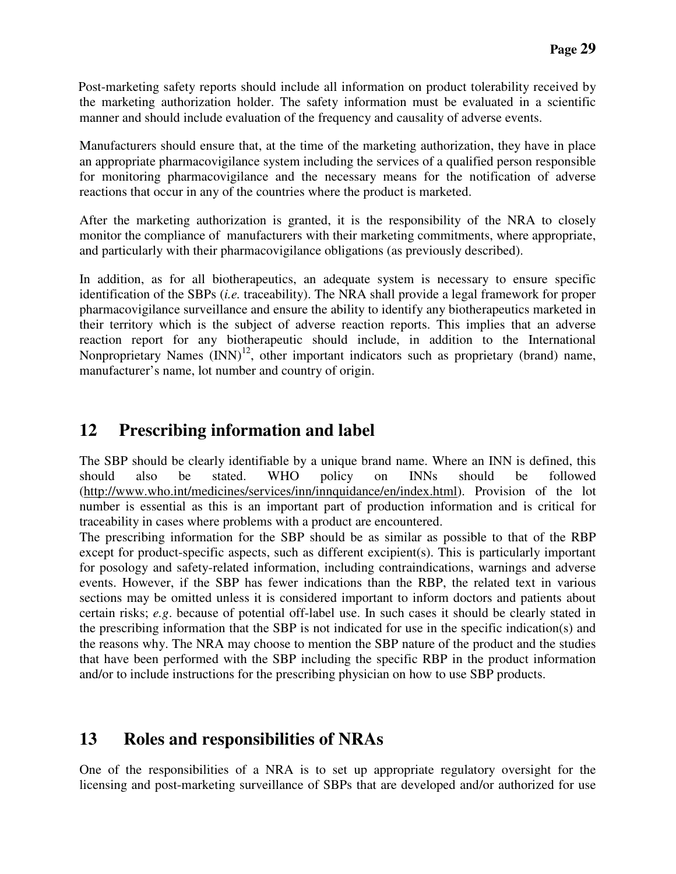Post-marketing safety reports should include all information on product tolerability received by the marketing authorization holder. The safety information must be evaluated in a scientific manner and should include evaluation of the frequency and causality of adverse events.

Manufacturers should ensure that, at the time of the marketing authorization, they have in place an appropriate pharmacovigilance system including the services of a qualified person responsible for monitoring pharmacovigilance and the necessary means for the notification of adverse reactions that occur in any of the countries where the product is marketed.

After the marketing authorization is granted, it is the responsibility of the NRA to closely monitor the compliance of manufacturers with their marketing commitments, where appropriate, and particularly with their pharmacovigilance obligations (as previously described).

In addition, as for all biotherapeutics, an adequate system is necessary to ensure specific identification of the SBPs (*i.e.* traceability). The NRA shall provide a legal framework for proper pharmacovigilance surveillance and ensure the ability to identify any biotherapeutics marketed in their territory which is the subject of adverse reaction reports. This implies that an adverse reaction report for any biotherapeutic should include, in addition to the International Nonproprietary Names  $(INN)^{12}$ , other important indicators such as proprietary (brand) name, manufacturer's name, lot number and country of origin.

### **12 Prescribing information and label**

The SBP should be clearly identifiable by a unique brand name. Where an INN is defined, this should also be stated. WHO policy on INNs should be followed (http://www.who.int/medicines/services/inn/innquidance/en/index.html). Provision of the lot number is essential as this is an important part of production information and is critical for traceability in cases where problems with a product are encountered.

The prescribing information for the SBP should be as similar as possible to that of the RBP except for product-specific aspects, such as different excipient(s). This is particularly important for posology and safety-related information, including contraindications, warnings and adverse events. However, if the SBP has fewer indications than the RBP, the related text in various sections may be omitted unless it is considered important to inform doctors and patients about certain risks; *e.g*. because of potential off-label use. In such cases it should be clearly stated in the prescribing information that the SBP is not indicated for use in the specific indication(s) and the reasons why. The NRA may choose to mention the SBP nature of the product and the studies that have been performed with the SBP including the specific RBP in the product information and/or to include instructions for the prescribing physician on how to use SBP products.

### **13 Roles and responsibilities of NRAs**

One of the responsibilities of a NRA is to set up appropriate regulatory oversight for the licensing and post-marketing surveillance of SBPs that are developed and/or authorized for use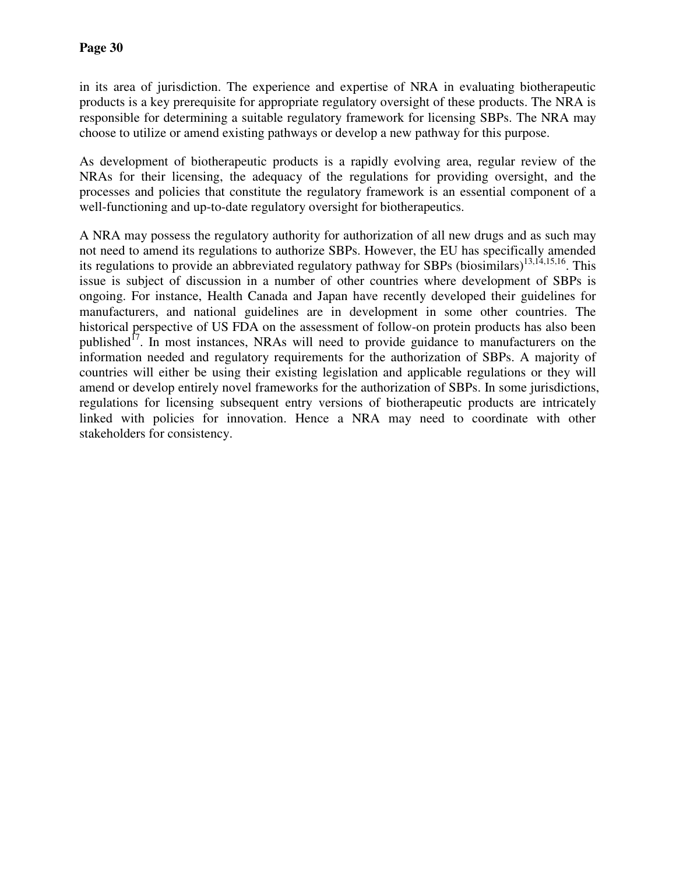in its area of jurisdiction. The experience and expertise of NRA in evaluating biotherapeutic products is a key prerequisite for appropriate regulatory oversight of these products. The NRA is responsible for determining a suitable regulatory framework for licensing SBPs. The NRA may choose to utilize or amend existing pathways or develop a new pathway for this purpose.

As development of biotherapeutic products is a rapidly evolving area, regular review of the NRAs for their licensing, the adequacy of the regulations for providing oversight, and the processes and policies that constitute the regulatory framework is an essential component of a well-functioning and up-to-date regulatory oversight for biotherapeutics.

A NRA may possess the regulatory authority for authorization of all new drugs and as such may not need to amend its regulations to authorize SBPs. However, the EU has specifically amended its regulations to provide an abbreviated regulatory pathway for SBPs (biosimilars)<sup>13,14,15,16</sup>. This issue is subject of discussion in a number of other countries where development of SBPs is ongoing. For instance, Health Canada and Japan have recently developed their guidelines for manufacturers, and national guidelines are in development in some other countries. The historical perspective of US FDA on the assessment of follow-on protein products has also been published<sup>17</sup>. In most instances, NRAs will need to provide guidance to manufacturers on the information needed and regulatory requirements for the authorization of SBPs. A majority of countries will either be using their existing legislation and applicable regulations or they will amend or develop entirely novel frameworks for the authorization of SBPs. In some jurisdictions, regulations for licensing subsequent entry versions of biotherapeutic products are intricately linked with policies for innovation. Hence a NRA may need to coordinate with other stakeholders for consistency.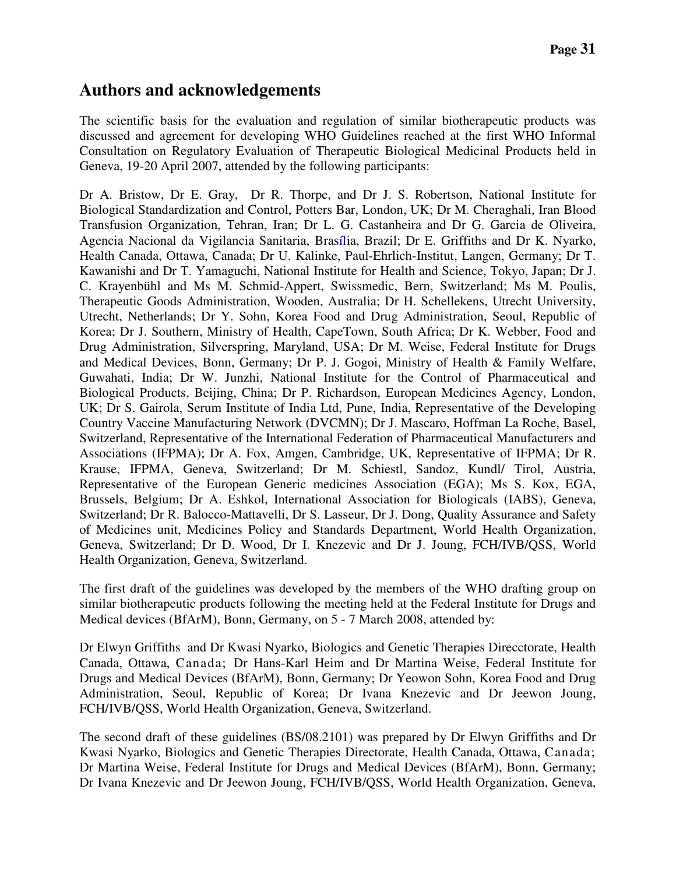# **Authors and acknowledgements**

The scientific basis for the evaluation and regulation of similar biotherapeutic products was discussed and agreement for developing WHO Guidelines reached at the first WHO Informal Consultation on Regulatory Evaluation of Therapeutic Biological Medicinal Products held in Geneva, 19-20 April 2007, attended by the following participants:

Dr A. Bristow, Dr E. Gray, Dr R. Thorpe, and Dr J. S. Robertson, National Institute for Biological Standardization and Control, Potters Bar, London, UK; Dr M. Cheraghali, Iran Blood Transfusion Organization, Tehran, Iran; Dr L. G. Castanheira and Dr G. Garcia de Oliveira, Agencia Nacional da Vigilancia Sanitaria, Brasília, Brazil; Dr E. Griffiths and Dr K. Nyarko, Health Canada, Ottawa, Canada; Dr U. Kalinke, Paul-Ehrlich-Institut, Langen, Germany; Dr T. Kawanishi and Dr T. Yamaguchi, National Institute for Health and Science, Tokyo, Japan; Dr J. C. Krayenbühl and Ms M. Schmid-Appert, Swissmedic, Bern, Switzerland; Ms M. Poulis, Therapeutic Goods Administration, Wooden, Australia; Dr H. Schellekens, Utrecht University, Utrecht, Netherlands; Dr Y. Sohn, Korea Food and Drug Administration, Seoul, Republic of Korea; Dr J. Southern, Ministry of Health, CapeTown, South Africa; Dr K. Webber, Food and Drug Administration, Silverspring, Maryland, USA; Dr M. Weise, Federal Institute for Drugs and Medical Devices, Bonn, Germany; Dr P. J. Gogoi, Ministry of Health & Family Welfare, Guwahati, India; Dr W. Junzhi, National Institute for the Control of Pharmaceutical and Biological Products, Beijing, China; Dr P. Richardson, European Medicines Agency, London, UK; Dr S. Gairola, Serum Institute of India Ltd, Pune, India, Representative of the Developing Country Vaccine Manufacturing Network (DVCMN); Dr J. Mascaro, Hoffman La Roche, Basel, Switzerland, Representative of the International Federation of Pharmaceutical Manufacturers and Associations (IFPMA); Dr A. Fox, Amgen, Cambridge, UK, Representative of IFPMA; Dr R. Krause, IFPMA, Geneva, Switzerland; Dr M. Schiestl, Sandoz, Kundl/ Tirol, Austria, Representative of the European Generic medicines Association (EGA); Ms S. Kox, EGA, Brussels, Belgium; Dr A. Eshkol, International Association for Biologicals (IABS), Geneva, Switzerland; Dr R. Balocco-Mattavelli, Dr S. Lasseur, Dr J. Dong, Quality Assurance and Safety of Medicines unit, Medicines Policy and Standards Department, World Health Organization, Geneva, Switzerland; Dr D. Wood, Dr I. Knezevic and Dr J. Joung, FCH/IVB/QSS, World Health Organization, Geneva, Switzerland.

The first draft of the guidelines was developed by the members of the WHO drafting group on similar biotherapeutic products following the meeting held at the Federal Institute for Drugs and Medical devices (BfArM), Bonn, Germany, on 5 - 7 March 2008, attended by:

Dr Elwyn Griffiths and Dr Kwasi Nyarko, Biologics and Genetic Therapies Direcctorate, Health Canada, Ottawa, Canada; Dr Hans-Karl Heim and Dr Martina Weise, Federal Institute for Drugs and Medical Devices (BfArM), Bonn, Germany; Dr Yeowon Sohn, Korea Food and Drug Administration, Seoul, Republic of Korea; Dr Ivana Knezevic and Dr Jeewon Joung, FCH/IVB/QSS, World Health Organization, Geneva, Switzerland.

The second draft of these guidelines (BS/08.2101) was prepared by Dr Elwyn Griffiths and Dr Kwasi Nyarko, Biologics and Genetic Therapies Directorate, Health Canada, Ottawa, Canada; Dr Martina Weise, Federal Institute for Drugs and Medical Devices (BfArM), Bonn, Germany; Dr Ivana Knezevic and Dr Jeewon Joung, FCH/IVB/QSS, World Health Organization, Geneva,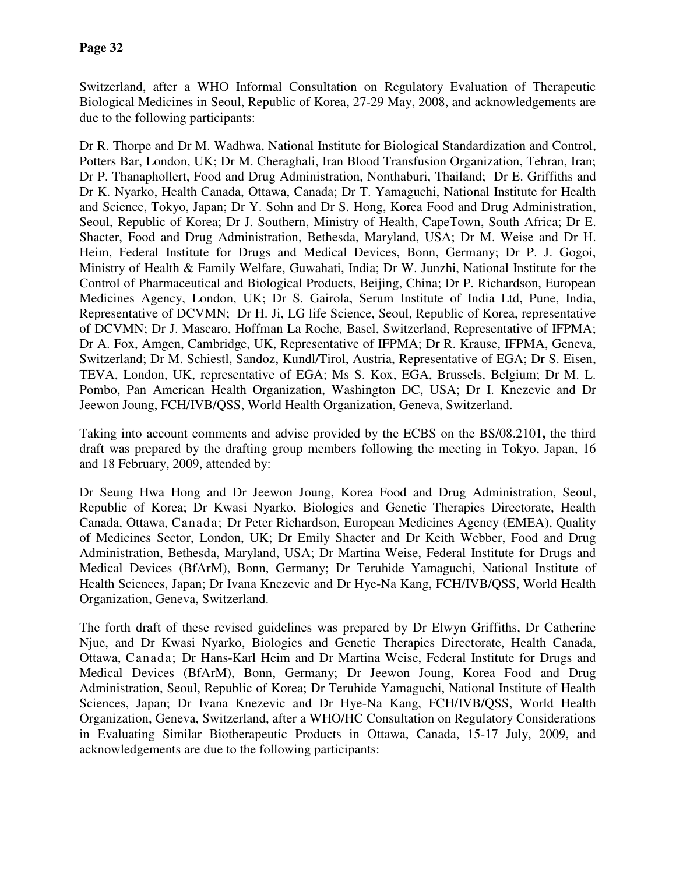Switzerland, after a WHO Informal Consultation on Regulatory Evaluation of Therapeutic Biological Medicines in Seoul, Republic of Korea, 27-29 May, 2008, and acknowledgements are due to the following participants:

Dr R. Thorpe and Dr M. Wadhwa, National Institute for Biological Standardization and Control, Potters Bar, London, UK; Dr M. Cheraghali, Iran Blood Transfusion Organization, Tehran, Iran; Dr P. Thanaphollert, Food and Drug Administration, Nonthaburi, Thailand; Dr E. Griffiths and Dr K. Nyarko, Health Canada, Ottawa, Canada; Dr T. Yamaguchi, National Institute for Health and Science, Tokyo, Japan; Dr Y. Sohn and Dr S. Hong, Korea Food and Drug Administration, Seoul, Republic of Korea; Dr J. Southern, Ministry of Health, CapeTown, South Africa; Dr E. Shacter, Food and Drug Administration, Bethesda, Maryland, USA; Dr M. Weise and Dr H. Heim, Federal Institute for Drugs and Medical Devices, Bonn, Germany; Dr P. J. Gogoi, Ministry of Health & Family Welfare, Guwahati, India; Dr W. Junzhi, National Institute for the Control of Pharmaceutical and Biological Products, Beijing, China; Dr P. Richardson, European Medicines Agency, London, UK; Dr S. Gairola, Serum Institute of India Ltd, Pune, India, Representative of DCVMN; Dr H. Ji, LG life Science, Seoul, Republic of Korea, representative of DCVMN; Dr J. Mascaro, Hoffman La Roche, Basel, Switzerland, Representative of IFPMA; Dr A. Fox, Amgen, Cambridge, UK, Representative of IFPMA; Dr R. Krause, IFPMA, Geneva, Switzerland; Dr M. Schiestl, Sandoz, Kundl/Tirol, Austria, Representative of EGA; Dr S. Eisen, TEVA, London, UK, representative of EGA; Ms S. Kox, EGA, Brussels, Belgium; Dr M. L. Pombo, Pan American Health Organization, Washington DC, USA; Dr I. Knezevic and Dr Jeewon Joung, FCH/IVB/QSS, World Health Organization, Geneva, Switzerland.

Taking into account comments and advise provided by the ECBS on the BS/08.2101**,** the third draft was prepared by the drafting group members following the meeting in Tokyo, Japan, 16 and 18 February, 2009, attended by:

Dr Seung Hwa Hong and Dr Jeewon Joung, Korea Food and Drug Administration, Seoul, Republic of Korea; Dr Kwasi Nyarko, Biologics and Genetic Therapies Directorate, Health Canada, Ottawa, Canada; Dr Peter Richardson, European Medicines Agency (EMEA), Quality of Medicines Sector, London, UK; Dr Emily Shacter and Dr Keith Webber, Food and Drug Administration, Bethesda, Maryland, USA; Dr Martina Weise, Federal Institute for Drugs and Medical Devices (BfArM), Bonn, Germany; Dr Teruhide Yamaguchi, National Institute of Health Sciences, Japan; Dr Ivana Knezevic and Dr Hye-Na Kang, FCH/IVB/QSS, World Health Organization, Geneva, Switzerland.

The forth draft of these revised guidelines was prepared by Dr Elwyn Griffiths, Dr Catherine Njue, and Dr Kwasi Nyarko, Biologics and Genetic Therapies Directorate, Health Canada, Ottawa, Canada; Dr Hans-Karl Heim and Dr Martina Weise, Federal Institute for Drugs and Medical Devices (BfArM), Bonn, Germany; Dr Jeewon Joung, Korea Food and Drug Administration, Seoul, Republic of Korea; Dr Teruhide Yamaguchi, National Institute of Health Sciences, Japan; Dr Ivana Knezevic and Dr Hye-Na Kang, FCH/IVB/QSS, World Health Organization, Geneva, Switzerland, after a WHO/HC Consultation on Regulatory Considerations in Evaluating Similar Biotherapeutic Products in Ottawa, Canada, 15-17 July, 2009, and acknowledgements are due to the following participants: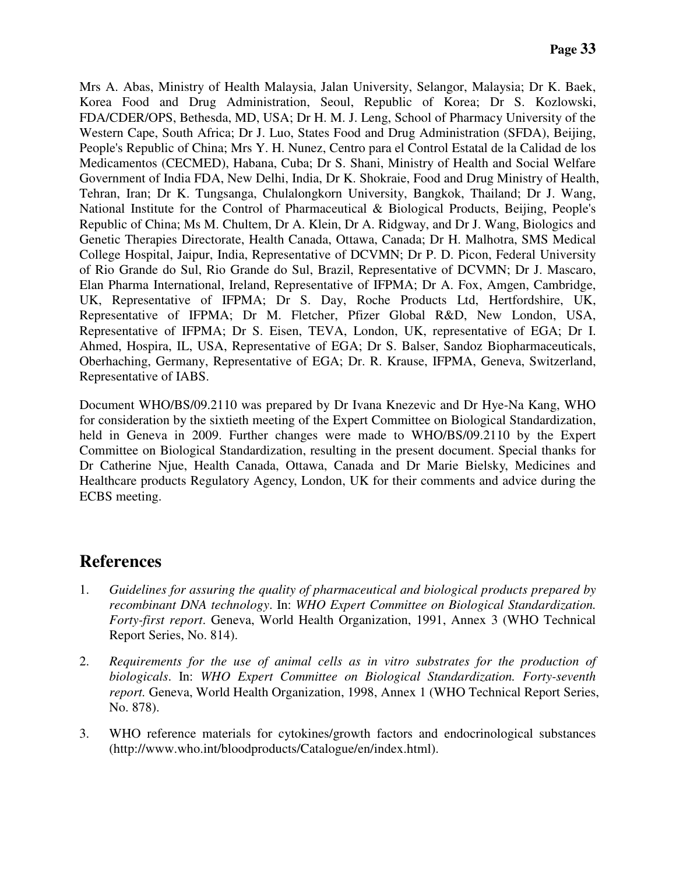Mrs A. Abas, Ministry of Health Malaysia, Jalan University, Selangor, Malaysia; Dr K. Baek, Korea Food and Drug Administration, Seoul, Republic of Korea; Dr S. Kozlowski, FDA/CDER/OPS, Bethesda, MD, USA; Dr H. M. J. Leng, School of Pharmacy University of the Western Cape, South Africa; Dr J. Luo, States Food and Drug Administration (SFDA), Beijing, People's Republic of China; Mrs Y. H. Nunez, Centro para el Control Estatal de la Calidad de los Medicamentos (CECMED), Habana, Cuba; Dr S. Shani, Ministry of Health and Social Welfare Government of India FDA, New Delhi, India, Dr K. Shokraie, Food and Drug Ministry of Health, Tehran, Iran; Dr K. Tungsanga, Chulalongkorn University, Bangkok, Thailand; Dr J. Wang, National Institute for the Control of Pharmaceutical & Biological Products, Beijing, People's Republic of China; Ms M. Chultem, Dr A. Klein, Dr A. Ridgway, and Dr J. Wang, Biologics and Genetic Therapies Directorate, Health Canada, Ottawa, Canada; Dr H. Malhotra, SMS Medical College Hospital, Jaipur, India, Representative of DCVMN; Dr P. D. Picon, Federal University of Rio Grande do Sul, Rio Grande do Sul, Brazil, Representative of DCVMN; Dr J. Mascaro, Elan Pharma International, Ireland, Representative of IFPMA; Dr A. Fox, Amgen, Cambridge, UK, Representative of IFPMA; Dr S. Day, Roche Products Ltd, Hertfordshire, UK, Representative of IFPMA; Dr M. Fletcher, Pfizer Global R&D, New London, USA, Representative of IFPMA; Dr S. Eisen, TEVA, London, UK, representative of EGA; Dr I. Ahmed, Hospira, IL, USA, Representative of EGA; Dr S. Balser, Sandoz Biopharmaceuticals, Oberhaching, Germany, Representative of EGA; Dr. R. Krause, IFPMA, Geneva, Switzerland, Representative of IABS.

Document WHO/BS/09.2110 was prepared by Dr Ivana Knezevic and Dr Hye-Na Kang, WHO for consideration by the sixtieth meeting of the Expert Committee on Biological Standardization, held in Geneva in 2009. Further changes were made to WHO/BS/09.2110 by the Expert Committee on Biological Standardization, resulting in the present document. Special thanks for Dr Catherine Njue, Health Canada, Ottawa, Canada and Dr Marie Bielsky, Medicines and Healthcare products Regulatory Agency, London, UK for their comments and advice during the ECBS meeting.

# **References**

- 1. *Guidelines for assuring the quality of pharmaceutical and biological products prepared by recombinant DNA technology*. In: *WHO Expert Committee on Biological Standardization. Forty-first report*. Geneva, World Health Organization, 1991, Annex 3 (WHO Technical Report Series, No. 814).
- 2. *Requirements for the use of animal cells as in vitro substrates for the production of biologicals*. In: *WHO Expert Committee on Biological Standardization. Forty-seventh report.* Geneva, World Health Organization, 1998, Annex 1 (WHO Technical Report Series, No. 878).
- 3. WHO reference materials for cytokines/growth factors and endocrinological substances (http://www.who.int/bloodproducts/Catalogue/en/index.html).